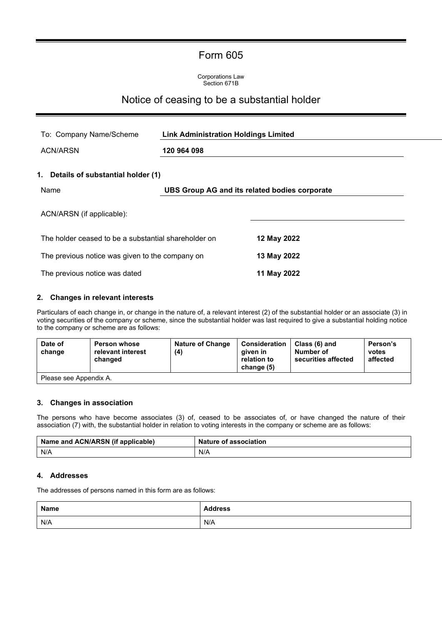# Form 605

Corporations Law Section 671B

# Notice of ceasing to be a substantial holder

| To: Company Name/Scheme                              | <b>Link Administration Holdings Limited</b><br>120 964 098 |                                               |  |
|------------------------------------------------------|------------------------------------------------------------|-----------------------------------------------|--|
| <b>ACN/ARSN</b>                                      |                                                            |                                               |  |
| 1. Details of substantial holder (1)                 |                                                            |                                               |  |
| Name                                                 |                                                            | UBS Group AG and its related bodies corporate |  |
| ACN/ARSN (if applicable):                            |                                                            |                                               |  |
| The holder ceased to be a substantial shareholder on |                                                            | 12 May 2022                                   |  |
| The previous notice was given to the company on      |                                                            | 13 May 2022                                   |  |
| The previous notice was dated                        |                                                            | 11 May 2022                                   |  |

### **2. Changes in relevant interests**

Particulars of each change in, or change in the nature of, a relevant interest (2) of the substantial holder or an associate (3) in voting securities of the company or scheme, since the substantial holder was last required to give a substantial holding notice to the company or scheme are as follows:

| Date of<br>change      | <b>Person whose</b><br>relevant interest<br>changed | <b>Nature of Change</b><br>(4) | Consideration<br>aiven in<br>relation to<br>change (5) | Class (6) and<br>Number of<br>securities affected | Person's<br>votes<br>affected |
|------------------------|-----------------------------------------------------|--------------------------------|--------------------------------------------------------|---------------------------------------------------|-------------------------------|
| Please see Appendix A. |                                                     |                                |                                                        |                                                   |                               |

### **3. Changes in association**

The persons who have become associates (3) of, ceased to be associates of, or have changed the nature of their association (7) with, the substantial holder in relation to voting interests in the company or scheme are as follows:

| Name and ACN/ARSN (if applicable) | <b>Nature of association</b> |
|-----------------------------------|------------------------------|
| N/A                               | N/A                          |

#### **4. Addresses**

The addresses of persons named in this form are as follows:

| <b>Name</b> | <b>Address</b> |
|-------------|----------------|
| N/A         | N/A            |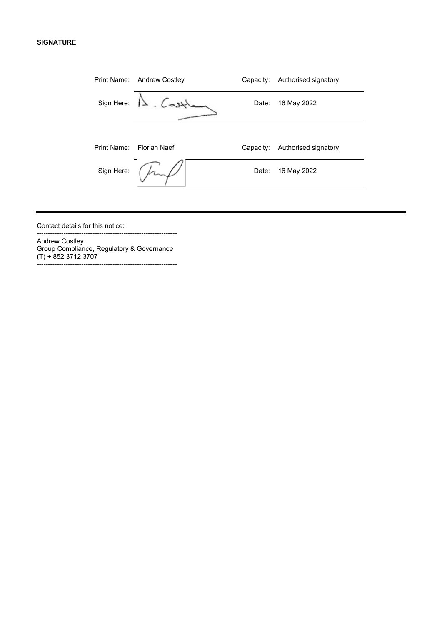### **SIGNATURE**

|             | Print Name: Andrew Costley | Capacity: | Authorised signatory |
|-------------|----------------------------|-----------|----------------------|
| Sign Here:  | Lost                       | Date:     | 16 May 2022          |
|             |                            |           |                      |
| Print Name: | Florian Naef               | Capacity: | Authorised signatory |
| Sign Here:  |                            | Date:     | 16 May 2022          |
|             |                            |           |                      |

Contact details for this notice:

Andrew Costley Group Compliance, Regulatory & Governance (T) + 852 3712 3707 ---------------------------------------------------------------

---------------------------------------------------------------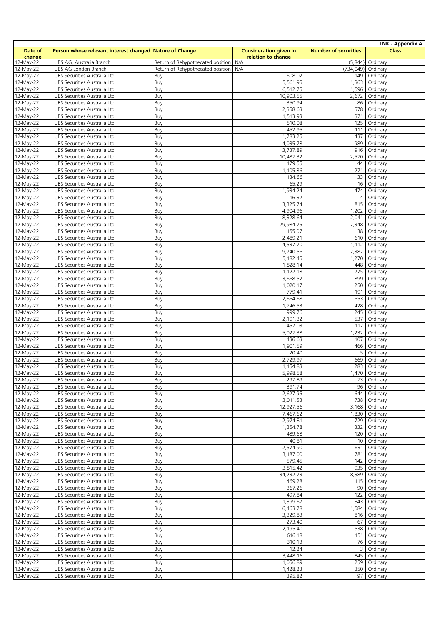| <b>LNK - Appendix A</b>  |                                                              |                                       |                               |                             |                          |
|--------------------------|--------------------------------------------------------------|---------------------------------------|-------------------------------|-----------------------------|--------------------------|
| Date of                  | Person whose relevant interest changed Nature of Change      |                                       | <b>Consideration given in</b> | <b>Number of securities</b> | <b>Class</b>             |
| change                   | UBS AG, Australia Branch                                     | Return of Rehypothecated position N/A | relation to change            |                             | Ordinary                 |
| 12-May-22<br>12-May-22   | UBS AG London Branch                                         | Return of Rehypothecated position N/A |                               | (5,844)<br>(734, 049)       | Ordinary                 |
| 12-May-22                | UBS Securities Australia Ltd                                 | Buy                                   | 608.02                        | 149                         | Ordinary                 |
| 12-May-22                | UBS Securities Australia Ltd                                 | Buy                                   | 5,561.95                      | 1,363                       | Ordinary                 |
| 12-May-22                | UBS Securities Australia Ltd                                 | Buy                                   | 6,512.75                      | 1,596                       | Ordinary                 |
| 12-May-22                | UBS Securities Australia Ltd                                 | Buy                                   | 10,903.55                     | 2,672                       | Ordinary                 |
| 12-May-22                | UBS Securities Australia Ltd                                 | Buy                                   | 350.94                        | 86                          | Ordinary                 |
| 12-May-22                | UBS Securities Australia Ltd                                 | Buy                                   | 2,358.63                      | 578<br>371                  | Ordinary                 |
| 12-May-22<br>12-May-22   | UBS Securities Australia Ltd<br>UBS Securities Australia Ltd | Buy<br>Buy                            | 1,513.93<br>510.08            | 125                         | Ordinary<br>Ordinary     |
| 12-May-22                | UBS Securities Australia Ltd                                 | Buy                                   | 452.95                        | 111                         | Ordinary                 |
| 12-May-22                | UBS Securities Australia Ltd                                 | Buy                                   | 1,783.25                      | 437                         | Ordinary                 |
| $12-May-22$              | UBS Securities Australia Ltd                                 | Buy                                   | 4,035.78                      | 989                         | Ordinary                 |
| 12-May-22                | UBS Securities Australia Ltd                                 | Buy                                   | 3,737.89                      | 916                         | Ordinary                 |
| 12-May-22                | UBS Securities Australia Ltd                                 | Buy                                   | 10,487.32                     | 2,570                       | Ordinary                 |
| $\overline{12}$ -May-22  | UBS Securities Australia Ltd                                 | Buy                                   | 179.55                        | 44                          | Ordinary                 |
| $12-May-22$<br>12-May-22 | UBS Securities Australia Ltd<br>UBS Securities Australia Ltd | Buy<br>Buy                            | 1,105.86<br>134.66            | 271<br>33                   | Ordinary<br>Ordinary     |
| 12-May-22                | UBS Securities Australia Ltd                                 | Buy                                   | 65.29                         | 16                          | Ordinary                 |
| 12-May-22                | UBS Securities Australia Ltd                                 | Buy                                   | 1,934.24                      | 474                         | Ordinary                 |
| 12-May-22                | UBS Securities Australia Ltd                                 | Buy                                   | 16.32                         | $\overline{4}$              | Ordinary                 |
| 12-May-22                | UBS Securities Australia Ltd                                 | Buy                                   | 3,325.74                      | 815                         | Ordinary                 |
| 12-May-22                | UBS Securities Australia Ltd                                 | Buy                                   | 4,904.96                      | 1,202                       | Ordinary                 |
| $12-May-22$              | UBS Securities Australia Ltd                                 | Buy                                   | 8,328.64                      | 2,041                       | Ordinary                 |
| 12-May-22                | UBS Securities Australia Ltd                                 | Buy                                   | 29,984.75                     | 7,348                       | Ordinary                 |
| 12-May-22<br>12-May-22   | UBS Securities Australia Ltd<br>UBS Securities Australia Ltd | Buy<br>Buy                            | 155.07<br>2,489.21            | 38<br>610                   | Ordinary<br>Ordinary     |
| 12-May-22                | UBS Securities Australia Ltd                                 | Buy                                   | 4,537.70                      | 1,112                       | Ordinary                 |
| 12-May-22                | UBS Securities Australia Ltd                                 | Buy                                   | 9,740.56                      | 2,387                       | Ordinary                 |
| 12-May-22                | UBS Securities Australia Ltd                                 | Buy                                   | 5,182.45                      | 1,270                       | Ordinary                 |
| 12-May-22                | UBS Securities Australia Ltd                                 | Buy                                   | 1,828.14                      | 448                         | Ordinary                 |
| 12-May-22                | UBS Securities Australia Ltd                                 | Buy                                   | 1,122.18                      | 275                         | Ordinary                 |
| 12-May-22                | UBS Securities Australia Ltd                                 | Buy                                   | 3,668.52                      | 899                         | Ordinary                 |
| 12-May-22                | UBS Securities Australia Ltd                                 | Buy                                   | 1,020.17                      | 250                         | Ordinary                 |
| 12-May-22<br>12-May-22   | UBS Securities Australia Ltd<br>UBS Securities Australia Ltd | Buy<br>Buy                            | 779.41<br>2,664.68            | 191<br>653                  | Ordinary<br>Ordinary     |
| 12-May-22                | UBS Securities Australia Ltd                                 | Buy                                   | 1,746.53                      | 428                         | Ordinary                 |
| 12-May-22                | UBS Securities Australia Ltd                                 | Buy                                   | 999.76                        | 245                         | Ordinary                 |
| 12-May-22                | UBS Securities Australia Ltd                                 | Buy                                   | 2,191.32                      | 537                         | Ordinary                 |
| 12-May-22                | UBS Securities Australia Ltd                                 | Buy                                   | 457.03                        | 112                         | Ordinary                 |
| 12-May-22                | UBS Securities Australia Ltd                                 | Buy                                   | 5,027.38                      | 1,232                       | Ordinary                 |
| $12-May-22$              | UBS Securities Australia Ltd                                 | Buy                                   | 436.63                        | 107                         | Ordinary                 |
| 12-May-22<br>12-May-22   | UBS Securities Australia Ltd<br>UBS Securities Australia Ltd | Buy<br>Buy                            | 1,901.59<br>20.40             | 466<br>5                    | Ordinary<br>Ordinary     |
| 12-May-22                | UBS Securities Australia Ltd                                 | Buy                                   | 2,729.97                      | 669                         | Ordinary                 |
| 12-May-22                | UBS Securities Australia Ltd                                 | Buy                                   | 1,154.83                      | 283                         | Ordinary                 |
| 12-May-22                | UBS Securities Australia Ltd                                 | <b>Buy</b>                            | 5,998.58                      |                             | 1,470   Ordinary         |
| 12-May-22                | UBS Securities Australia Ltd                                 | Buy                                   | 297.89                        |                             | 73 Ordinary              |
| 12-May-22                | UBS Securities Australia Ltd                                 | Buy                                   | 391.74                        |                             | 96 Ordinary              |
| 12-May-22                | UBS Securities Australia Ltd                                 | Buy                                   | 2,627.95                      |                             | 644 Ordinary             |
| 12-May-22<br>12-May-22   | UBS Securities Australia Ltd<br>UBS Securities Australia Ltd | Buy<br>Buy                            | 3,011.53<br>12,927.56         | 3,168                       | 738 Ordinary<br>Ordinary |
| 12-May-22                | UBS Securities Australia Ltd                                 | Buy                                   | 7,467.62                      | 1,830                       | Ordinary                 |
| 12-May-22                | UBS Securities Australia Ltd                                 | Buy                                   | 2,974.81                      | 729                         | Ordinary                 |
| 12-May-22                | UBS Securities Australia Ltd                                 | Buy                                   | 1,354.78                      | 332                         | Ordinary                 |
| 12-May-22                | UBS Securities Australia Ltd                                 | Buy                                   | 489.68                        | 120                         | Ordinary                 |
| 12-May-22                | UBS Securities Australia Ltd                                 | Buy                                   | 40.81                         | 10                          | Ordinary                 |
| 12-May-22                | UBS Securities Australia Ltd                                 | Buy                                   | 2,574.90                      | 631                         | Ordinary                 |
| 12-May-22                | UBS Securities Australia Ltd                                 | Buy                                   | 3,187.00<br>579.45            | 781<br>142                  | Ordinary<br>Ordinary     |
| 12-May-22<br>12-May-22   | UBS Securities Australia Ltd<br>UBS Securities Australia Ltd | Buy<br>Buy                            | 3,815.42                      | 935                         | Ordinary                 |
| 12-May-22                | UBS Securities Australia Ltd                                 | Buy                                   | 34,232.73                     | 8,389                       | Ordinary                 |
| 12-May-22                | UBS Securities Australia Ltd                                 | Buy                                   | 469.28                        |                             | 115 Ordinary             |
| 12-May-22                | UBS Securities Australia Ltd                                 | Buy                                   | 367.26                        | 90                          | Ordinary                 |
| 12-May-22                | UBS Securities Australia Ltd                                 | Buy                                   | 497.84                        | 122                         | Ordinary                 |
| 12-May-22                | UBS Securities Australia Ltd                                 | Buy                                   | 1,399.67                      | 343                         | Ordinary                 |
| 12-May-22                | UBS Securities Australia Ltd                                 | Buy                                   | 6,463.78                      | 1,584                       | Ordinary                 |
| 12-May-22<br>$12-May-22$ | UBS Securities Australia Ltd<br>UBS Securities Australia Ltd | Buy<br>Buy                            | 3,329.83<br>273.40            | 67                          | 816 Ordinary<br>Ordinary |
| 12-May-22                | UBS Securities Australia Ltd                                 | Buy                                   | 2,195.40                      |                             | 538 Ordinary             |
| 12-May-22                | UBS Securities Australia Ltd                                 | Buy                                   | 616.18                        |                             | 151 Ordinary             |
| 12-May-22                | UBS Securities Australia Ltd                                 | Buy                                   | 310.13                        | 76                          | Ordinary                 |
| 12-May-22                | UBS Securities Australia Ltd                                 | Buy                                   | 12.24                         | 3                           | Ordinary                 |
| 12-May-22                | UBS Securities Australia Ltd                                 | Buy                                   | 3,448.16                      |                             | 845   Ordinary           |
| 12-May-22                | UBS Securities Australia Ltd                                 | Buy                                   | 1,056.89                      | 259                         | Ordinary                 |
| 12-May-22                | UBS Securities Australia Ltd                                 | Buy                                   | 1,428.23                      | 350                         | Ordinary                 |
| $\overline{12}$ -May-22  | UBS Securities Australia Ltd                                 | Buy                                   | 395.82                        | 97                          | Ordinary                 |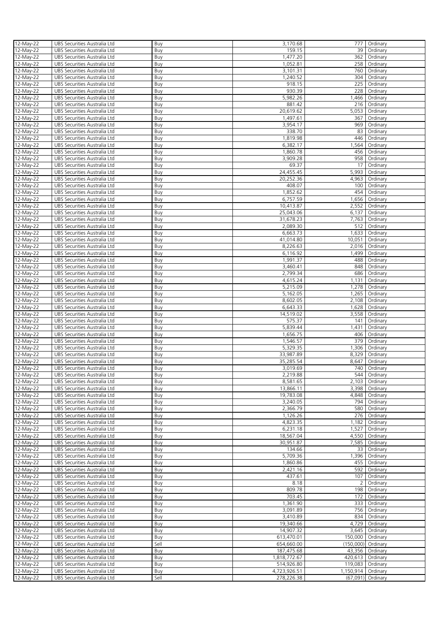| 12-May-22    | UBS Securities Australia Ltd | Buy  | 3,170.68     |                    | 777 Ordinary       |
|--------------|------------------------------|------|--------------|--------------------|--------------------|
|              |                              |      |              |                    |                    |
| 12-May-22    | UBS Securities Australia Ltd | Buy  | 159.15       | 39                 | Ordinary           |
| 12-May-22    | UBS Securities Australia Ltd | Buy  | 1,477.20     | 362                | Ordinary           |
| 12-May-22    | UBS Securities Australia Ltd | Buy  | 1,052.81     |                    | 258 Ordinary       |
| 12-May-22    | UBS Securities Australia Ltd | Buy  | 3,101.31     | 760                | Ordinary           |
| 12-May-22    | UBS Securities Australia Ltd | Buy  | 1,240.52     | 304                | Ordinary           |
|              |                              |      |              |                    |                    |
| 12-May-22    | UBS Securities Australia Ltd | Buy  | 918.15       | 225                | Ordinary           |
| 12-May-22    | UBS Securities Australia Ltd | Buy  | 930.39       | 228                | Ordinary           |
| 12-May-22    | UBS Securities Australia Ltd | Buy  | 5,982.26     | 1,466              | Ordinary           |
| 12-May-22    | UBS Securities Australia Ltd | Buy  | 881.42       | 216                | Ordinary           |
|              |                              |      |              |                    |                    |
| 12-May-22    | UBS Securities Australia Ltd | Buy  | 20,619.62    | 5,053              | Ordinary           |
| 12-May-22    | UBS Securities Australia Ltd | Buy  | 1,497.61     | 367                | Ordinary           |
| 12-May-22    | UBS Securities Australia Ltd | Buy  | 3,954.17     | 969                | Ordinary           |
| 12-May-22    | UBS Securities Australia Ltd | Buy  | 338.70       | 83                 | Ordinary           |
| 12-May-22    | UBS Securities Australia Ltd | Buy  | 1,819.98     | 446                | Ordinary           |
|              |                              |      |              |                    |                    |
| 12-May-22    | UBS Securities Australia Ltd | Buy  | 6,382.17     | 1,564              | Ordinary           |
| 12-May-22    | UBS Securities Australia Ltd | Buy  | 1,860.78     | 456                | Ordinary           |
| 12-May-22    | UBS Securities Australia Ltd | Buy  | 3,909.28     | 958                | Ordinary           |
| 12-May-22    | UBS Securities Australia Ltd | Buy  | 69.37        | 17                 | Ordinary           |
|              |                              |      |              |                    |                    |
| 12-May-22    | UBS Securities Australia Ltd | Buy  | 24,455.45    | 5,993              | Ordinary           |
| 12-May-22    | UBS Securities Australia Ltd | Buy  | 20,252.36    | 4,963              | Ordinary           |
| 12-May-22    | UBS Securities Australia Ltd | Buy  | 408.07       | 100                | Ordinary           |
| 12-May-22    | UBS Securities Australia Ltd | Buy  | 1,852.62     | 454                | Ordinary           |
|              |                              |      |              |                    |                    |
| 12-May-22    | UBS Securities Australia Ltd | Buy  | 6,757.59     | 1,656              | Ordinary           |
| 12-May-22    | UBS Securities Australia Ltd | Buy  | 10,413.87    | 2,552              | Ordinary           |
| 12-May-22    | UBS Securities Australia Ltd | Buy  | 25,043.06    | 6,137              | Ordinary           |
| 12-May-22    | UBS Securities Australia Ltd | Buy  | 31,678.23    | 7,763              | Ordinary           |
| 12-May-22    | UBS Securities Australia Ltd | Buy  | 2,089.30     | 512                | Ordinary           |
|              |                              |      |              |                    |                    |
| 12-May-22    | UBS Securities Australia Ltd | Buy  | 6,663.73     | 1,633              | Ordinary           |
| 12-May-22    | UBS Securities Australia Ltd | Buy  | 41,014.80    | 10,051             | Ordinary           |
| 12-May-22    | UBS Securities Australia Ltd | Buy  | 8,226.63     | 2,016              | Ordinary           |
| 12-May-22    |                              | Buy  | 6,116.92     | 1,499              | Ordinary           |
|              | UBS Securities Australia Ltd |      |              |                    |                    |
| 12-May-22    | UBS Securities Australia Ltd | Buy  | 1,991.37     | 488                | Ordinary           |
| 12-May-22    | UBS Securities Australia Ltd | Buy  | 3,460.41     | 848                | Ordinary           |
| 12-May-22    | UBS Securities Australia Ltd | Buy  | 2,799.34     | 686                | Ordinary           |
| 12-May-22    | UBS Securities Australia Ltd | Buy  | 4,615.24     | 1,131              | Ordinary           |
|              |                              |      |              |                    |                    |
| 12-May-22    | UBS Securities Australia Ltd | Buy  | 5,215.09     | 1,278              | Ordinary           |
| 12-May-22    | UBS Securities Australia Ltd | Buy  | 5,162.05     | 1,265              | Ordinary           |
| 12-May-22    | UBS Securities Australia Ltd | Buy  | 8,602.05     | 2,108              | Ordinary           |
| 12-May-22    | UBS Securities Australia Ltd | Buy  | 6,643.33     | 1,628              | Ordinary           |
| 12-May-22    | UBS Securities Australia Ltd |      | 14,519.02    | 3,558              |                    |
|              |                              | Buy  |              |                    | Ordinary           |
| 12-May-22    | UBS Securities Australia Ltd | Buy  | 575.37       | 141                | Ordinary           |
| 12-May-22    | UBS Securities Australia Ltd | Buy  | 5,839.44     | 1,431              | Ordinary           |
| 12-May-22    | UBS Securities Australia Ltd | Buy  | 1,656.75     | 406                | Ordinary           |
|              | UBS Securities Australia Ltd | Buy  | 1,546.57     | 379                | Ordinary           |
| 12-May-22    |                              |      |              |                    |                    |
| 12-May-22    | UBS Securities Australia Ltd | Buy  | 5,329.35     | 1,306              | Ordinary           |
| 12-May-22    | UBS Securities Australia Ltd | Buy  | 33,987.89    | 8,329              | Ordinary           |
| 12-May-22    | UBS Securities Australia Ltd | Buy  | 35,285.54    | 8,647              | Ordinary           |
| 12-May-22    | UBS Securities Australia Ltd | Buy  | 3,019.69     |                    | 740 Ordinary       |
|              |                              |      |              |                    |                    |
| 12-May-22    | UBS Securities Australia Ltd | Buy  | 2,219.88     |                    | 544 Ordinary       |
| 12-May-22    | UBS Securities Australia Ltd | Buy  | 8,581.65     |                    | 2,103 Ordinary     |
| 12-May-22    | UBS Securities Australia Ltd | Buy  | 13,866.11    |                    | 3,398 Ordinary     |
| 12-May-22    | UBS Securities Australia Ltd | Buy  | 19,783.08    | 4,848              | Ordinary           |
| 12-May-22    | UBS Securities Australia Ltd | Buy  | 3,240.05     |                    | 794 Ordinary       |
|              |                              |      |              |                    |                    |
| 12-May-22    | UBS Securities Australia Ltd | Buy  | 2,366.79     |                    | 580 Ordinary       |
| 12-May-22    | UBS Securities Australia Ltd | Buy  | 1,126.26     |                    | 276 Ordinary       |
| 12-May-22    | UBS Securities Australia Ltd | Buy  | 4,823.35     | 1,182              | Ordinary           |
| 12-May-22    | UBS Securities Australia Ltd | Buy  | 6,231.18     | 1,527              | Ordinary           |
|              |                              |      |              |                    |                    |
| 12-May-22    | UBS Securities Australia Ltd | Buy  | 18,567.04    |                    | 4,550 Ordinary     |
| 12-May-22    | UBS Securities Australia Ltd | Buy  | 30,951.87    | 7,585              | Ordinary           |
| 12-May-22    | UBS Securities Australia Ltd | Buy  | 134.66       | 33                 | Ordinary           |
| 12-May-22    | UBS Securities Australia Ltd | Buy  | 5,709.36     | 1,396              | Ordinary           |
| 12-May-22    | UBS Securities Australia Ltd | Buy  | 1,860.86     | 455                | Ordinary           |
|              |                              |      |              |                    |                    |
| 12-May-22    | UBS Securities Australia Ltd | Buy  | 2,421.16     | 592                | Ordinary           |
| 12-May-22    | UBS Securities Australia Ltd | Buy  | 437.61       | 107                | Ordinary           |
| 12-May-22    | UBS Securities Australia Ltd | Buy  | 8.18         | $\overline{2}$     | Ordinary           |
| 12-May-22    | UBS Securities Australia Ltd | Buy  | 809.78       | 198                | Ordinary           |
| $12$ -May-22 |                              |      | 703.45       | 172                | Ordinary           |
|              | UBS Securities Australia Ltd | Buy  |              |                    |                    |
| 12-May-22    | UBS Securities Australia Ltd | Buy  | 1,361.90     | 333                | Ordinary           |
| 12-May-22    | UBS Securities Australia Ltd | Buy  | 3,091.89     |                    | 756 Ordinary       |
| 12-May-22    | UBS Securities Australia Ltd | Buy  | 3,410.89     |                    | 834 Ordinary       |
| 12-May-22    | UBS Securities Australia Ltd | Buy  | 19,340.66    | 4,729              | Ordinary           |
|              |                              |      |              |                    |                    |
| 12-May-22    | UBS Securities Australia Ltd | Buy  | 14,907.32    |                    | 3,645 Ordinary     |
| 12-May-22    | UBS Securities Australia Ltd | Buy  | 613,470.01   |                    | 150,000   Ordinary |
| 12-May-22    | UBS Securities Australia Ltd | Sell | 654,660.00   | (150,000) Ordinary |                    |
| 12-May-22    | UBS Securities Australia Ltd | Buy  | 187,475.68   |                    | 43,356 Ordinary    |
| 12-May-22    |                              |      | 1,818,772.67 | 420,613            | Ordinary           |
|              | UBS Securities Australia Ltd | Buy  |              |                    |                    |
| 12-May-22    | UBS Securities Australia Ltd | Buy  | 514,926.80   | 119,083            | Ordinary           |
| 12-May-22    | UBS Securities Australia Ltd | Buy  | 4,723,926.51 | 1,150,914          | Ordinary           |
| 12-May-22    | UBS Securities Australia Ltd | Sell | 278,226.38   | (67,091)           | Ordinary           |
|              |                              |      |              |                    |                    |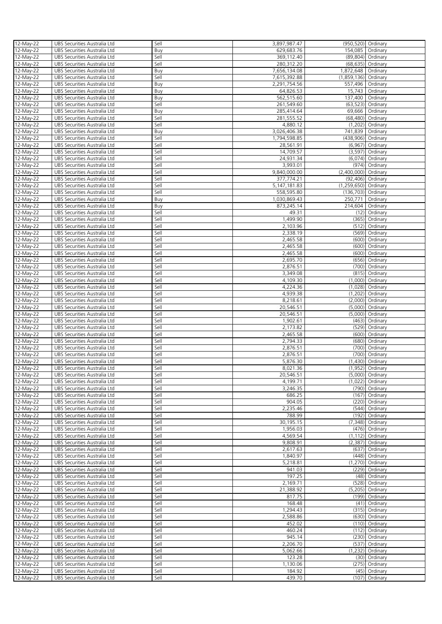| 12-May-22              | UBS Securities Australia Ltd                                 | Sell         | 3,897,987.47         | (950,520) Ordinary   |                            |
|------------------------|--------------------------------------------------------------|--------------|----------------------|----------------------|----------------------------|
| 12-May-22              | UBS Securities Australia Ltd                                 | Buy          | 629,683.76           | 154,085              | Ordinary                   |
| 12-May-22              | UBS Securities Australia Ltd                                 | Sell         | 369,112.40           |                      | (89,804) Ordinary          |
| 12-May-22              | UBS Securities Australia Ltd                                 | Sell         | 280,312.20           |                      | (68,635) Ordinary          |
| 12-May-22              | UBS Securities Australia Ltd                                 | Buy          | 7,656,134.08         | 1,872,648            | Ordinary                   |
| 12-May-22              | UBS Securities Australia Ltd                                 | Sell         | 7,615,392.88         | (1,859,136) Ordinary |                            |
| 12-May-22              | UBS Securities Australia Ltd                                 | Buy          | 2,291,754.56         | 557,496   Ordinary   |                            |
| 12-May-22              | UBS Securities Australia Ltd                                 | Buy          | 64,826.53            |                      | 15,743 Ordinary            |
| 12-May-22              | UBS Securities Australia Ltd                                 | Buy          | 562,515.60           | 137,400 Ordinary     |                            |
| 12-May-22              | UBS Securities Australia Ltd                                 | Sell         | 261,549.60           | (63, 523)            | Ordinary                   |
| 12-May-22              | UBS Securities Australia Ltd                                 | Buy          | 285,414.64           | 69,666               | Ordinary                   |
| 12-May-22              | UBS Securities Australia Ltd                                 | Sell         | 281,555.52           |                      | (68,480) Ordinary          |
| 12-May-22              | UBS Securities Australia Ltd                                 | Sell         | 4,880.12             | (1,202)              | Ordinary                   |
| 12-May-22              | UBS Securities Australia Ltd                                 | Buy          | 3,026,406.38         | 741,839              | Ordinary                   |
| 12-May-22              | UBS Securities Australia Ltd                                 | Sell         | 1,794,598.85         | (438,906)            | Ordinary                   |
| 12-May-22              | UBS Securities Australia Ltd                                 | Sell         | 28,561.91            | (6,967)              | Ordinary                   |
| 12-May-22              | UBS Securities Australia Ltd                                 | Sell         | 14,709.57            | (3, 597)             | Ordinary                   |
| 12-May-22              | UBS Securities Australia Ltd                                 | Sell         | 24,931.34            |                      | $(6,074)$ Ordinary         |
| 12-May-22              | UBS Securities Australia Ltd                                 | Sell         | 3,993.01             |                      | (974) Ordinary             |
| 12-May-22              | UBS Securities Australia Ltd                                 | Sell         | 9,840,000.00         | (2,400,000) Ordinary |                            |
| 12-May-22              | UBS Securities Australia Ltd                                 | Sell         | 377,774.21           |                      | (92,406) Ordinary          |
| 12-May-22              | UBS Securities Australia Ltd                                 | Sell         | 5, 147, 181.83       | (1,259,650) Ordinary |                            |
| 12-May-22              | UBS Securities Australia Ltd                                 | Sell         | 558,595.80           | (136, 703)           | Ordinary                   |
| 12-May-22              | UBS Securities Australia Ltd                                 | Buy          | 1,030,869.43         | 250,771              | Ordinary                   |
| 12-May-22              | UBS Securities Australia Ltd                                 | Buy          | 873,245.14           | 214,604              | Ordinary                   |
| 12-May-22              | UBS Securities Australia Ltd                                 | Sell         | 49.31                | (12)                 | Ordinary                   |
| 12-May-22              | UBS Securities Australia Ltd                                 | Sell         | 1,499.90             |                      | (365) Ordinary             |
| 12-May-22              | UBS Securities Australia Ltd                                 | Sell         | 2,103.96             |                      | (512) Ordinary             |
| 12-May-22              | UBS Securities Australia Ltd                                 | Sell         | 2,338.19             | (569)                | Ordinary                   |
| 12-May-22              | UBS Securities Australia Ltd                                 | Sell         | 2,465.58             | (600)                | Ordinary                   |
| 12-May-22              | UBS Securities Australia Ltd                                 | Sell         | 2,465.58             | (600)                | Ordinary                   |
| 12-May-22              | UBS Securities Australia Ltd                                 | Sell         | 2,465.58             |                      | (600) Ordinary             |
| 12-May-22              | UBS Securities Australia Ltd                                 | Sell         | 2,695.70             |                      | (656) Ordinary             |
| 12-May-22              | UBS Securities Australia Ltd                                 | Sell         | 2,876.51             |                      | (700) Ordinary             |
| 12-May-22              | UBS Securities Australia Ltd                                 | Sell         | 3,349.08             | (815)                | Ordinary                   |
| 12-May-22              | UBS Securities Australia Ltd                                 | Sell         | 4,109.30             | (1,000)              | Ordinary                   |
| 12-May-22              | UBS Securities Australia Ltd                                 | Sell         | 4,224.36             | (1,028)              | Ordinary                   |
| 12-May-22              | UBS Securities Australia Ltd                                 | Sell         | 4,939.38             | (1,202)              | Ordinary                   |
| 12-May-22              | UBS Securities Australia Ltd                                 | Sell         | 8,218.61             | (2,000)              | Ordinary                   |
| 12-May-22              | UBS Securities Australia Ltd                                 | Sell         | 20,546.51            |                      | (5,000) Ordinary           |
| 12-May-22              | UBS Securities Australia Ltd                                 | Sell         | 20,546.51            | (5,000)              | Ordinary                   |
| 12-May-22              | UBS Securities Australia Ltd                                 | Sell         | 1,902.61             | (463)                | Ordinary                   |
| 12-May-22              | UBS Securities Australia Ltd                                 | Sell         | 2,173.82             | (529)                | Ordinary                   |
| 12-May-22              | UBS Securities Australia Ltd                                 | Sell         | 2,465.58             |                      | (600) Ordinary             |
| 12-May-22              | UBS Securities Australia Ltd                                 | Sell         | 2,794.33             |                      | (680) Ordinary             |
| 12-May-22              | UBS Securities Australia Ltd                                 | Sell         | 2,876.51             |                      | (700) Ordinary             |
| 12-May-22              | UBS Securities Australia Ltd                                 | Sell         | 2,876.51             |                      | (700) Ordinary             |
| 12-May-22              | UBS Securities Australia Ltd                                 | Sell         | 5,876.30             |                      | (1,430) Ordinary           |
| 12-May-22              | UBS Securities Australia Ltd                                 | Sell         | 8,021.36             |                      | $(1,952)$ Ordinary         |
| 12-May-22              | UBS Securities Australia Ltd                                 | Sell         | 20,546.51            |                      | (5,000) Ordinary           |
| 12-May-22              | UBS Securities Australia Ltd                                 | Sell         | 4,199.71             |                      | $(1,022)$ Ordinary         |
| 12-May-22              | UBS Securities Australia Ltd                                 | Sell         | 3.246.35             |                      | (790) Ordinary             |
| 12-May-22              | UBS Securities Australia Ltd                                 | Sell         | 686.25               |                      | $(167)$ Ordinary           |
| 12-May-22              | UBS Securities Australia Ltd                                 | Sell         | 904.05               |                      | (220) Ordinary             |
| 12-May-22              | UBS Securities Australia Ltd                                 | Sell         | 2,235.46             |                      | (544) Ordinary             |
| 12-May-22              | UBS Securities Australia Ltd                                 | Sell         | 788.99               |                      | (192) Ordinary             |
| 12-May-22              | UBS Securities Australia Ltd                                 | Sell         | 30,195.15            |                      | (7,348) Ordinary           |
| 12-May-22              | UBS Securities Australia Ltd                                 | Sell         | 1,956.03             |                      | (476) Ordinary             |
| 12-May-22              | UBS Securities Australia Ltd                                 | Sell         | 4.569.54             |                      | $(1, 112)$ Ordinary        |
| 12-May-22              | UBS Securities Australia Ltd                                 | Sell         | 9,808.91             | (2,387)              | Ordinary                   |
| 12-May-22              | UBS Securities Australia Ltd                                 | Sell<br>Sell | 2,617.63<br>1,840.97 | (637)                | Ordinary<br>(448) Ordinary |
| 12-May-22<br>12-May-22 | UBS Securities Australia Ltd<br>UBS Securities Australia Ltd | Sell         | 5,218.81             |                      | (1,270) Ordinary           |
| 12-May-22              | UBS Securities Australia Ltd                                 | Sell         | 941.03               | (229)                | Ordinary                   |
| 12-May-22              | UBS Securities Australia Ltd                                 | Sell         | 197.25               | (48)                 | Ordinary                   |
| 12-May-22              | UBS Securities Australia Ltd                                 | Sell         | 2,169.71             |                      | (528) Ordinary             |
| $12-May-22$            | UBS Securities Australia Ltd                                 | Sell         | 21,388.92            |                      | (5,205) Ordinary           |
| 12-May-22              | UBS Securities Australia Ltd                                 | Sell         | 817.75               |                      | (199) Ordinary             |
| 12-May-22              | UBS Securities Australia Ltd                                 | Sell         | 168.48               |                      | $(41)$ Ordinary            |
| 12-May-22              | UBS Securities Australia Ltd                                 | Sell         | 1,294.43             |                      | (315) Ordinary             |
| 12-May-22              | UBS Securities Australia Ltd                                 | Sell         | 2,588.86             |                      | (630) Ordinary             |
| 12-May-22              | UBS Securities Australia Ltd                                 | Sell         | 452.02               |                      | (110) Ordinary             |
| 12-May-22              | UBS Securities Australia Ltd                                 | Sell         | 460.24               |                      | (112) Ordinary             |
| 12-May-22              | UBS Securities Australia Ltd                                 | Sell         | 945.14               |                      | (230) Ordinary             |
| 12-May-22              | UBS Securities Australia Ltd                                 | Sell         | 2,206.70             |                      | (537) Ordinary             |
| 12-May-22              | UBS Securities Australia Ltd                                 | Sell         | 5,062.66             |                      | $(1,232)$ Ordinary         |
| 12-May-22              | UBS Securities Australia Ltd                                 | Sell         | 123.28               |                      | (30) Ordinary              |
| 12-May-22              | UBS Securities Australia Ltd                                 | Sell         | 1,130.06             |                      | (275) Ordinary             |
| 12-May-22              | UBS Securities Australia Ltd                                 | Sell         | 184.92               |                      | (45) Ordinary              |
| 12-May-22              | UBS Securities Australia Ltd                                 | Sell         | 439.70               | (107)                | Ordinary                   |
|                        |                                                              |              |                      |                      |                            |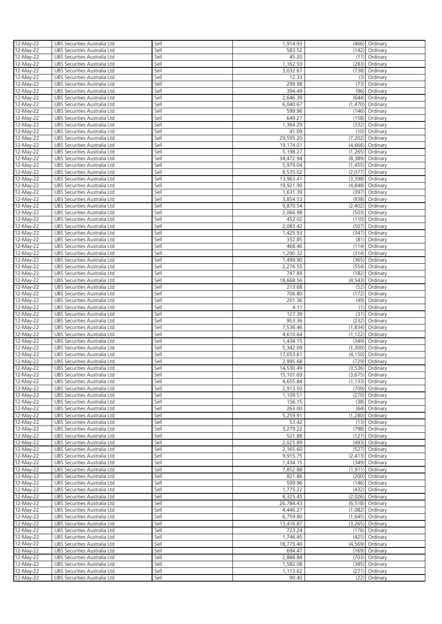| 12-May-22   | UBS Securities Australia Ltd | Sell | 1,914.93  |          | (466) Ordinary     |
|-------------|------------------------------|------|-----------|----------|--------------------|
|             |                              |      |           |          |                    |
| 12-May-22   | UBS Securities Australia Ltd | Sell | 583.52    |          | (142) Ordinary     |
| 12-May-22   | UBS Securities Australia Ltd | Sell | 45.20     |          | $(11)$ Ordinary    |
| 12-May-22   | UBS Securities Australia Ltd | Sell | 1,162.93  |          | (283) Ordinary     |
|             |                              |      |           |          |                    |
| 12-May-22   | UBS Securities Australia Ltd | Sell | 3,032.67  | (738)    | Ordinary           |
| 12-May-22   | UBS Securities Australia Ltd | Sell | 12.33     | (3)      | Ordinary           |
| 12-May-22   | UBS Securities Australia Ltd | Sell | 299.98    |          | (73) Ordinary      |
|             |                              |      |           |          |                    |
| 12-May-22   | UBS Securities Australia Ltd | Sell | 394.49    |          | (96) Ordinary      |
| 12-May-22   | UBS Securities Australia Ltd | Sell | 2,646.39  | (644)    | Ordinary           |
| 12-May-22   | UBS Securities Australia Ltd | Sell | 6,040.67  |          | $(1,470)$ Ordinary |
|             |                              |      |           |          |                    |
| 12-May-22   | UBS Securities Australia Ltd | Sell | 599.96    |          | (146) Ordinary     |
| 12-May-22   | UBS Securities Australia Ltd | Sell | 649.27    |          | (158) Ordinary     |
| 12-May-22   | UBS Securities Australia Ltd | Sell | 1,364.29  |          | (332) Ordinary     |
|             |                              |      |           |          |                    |
| 12-May-22   | UBS Securities Australia Ltd | Sell | 41.09     |          | (10) Ordinary      |
| 12-May-22   | UBS Securities Australia Ltd | Sell | 29,595.20 | (7,202)  | Ordinary           |
| 12-May-22   | UBS Securities Australia Ltd | Sell | 19,174.01 | (4,666)  | Ordinary           |
|             |                              |      |           |          |                    |
| 12-May-22   | UBS Securities Australia Ltd | Sell | 5,198.27  | (1,265)  | Ordinary           |
| 12-May-22   | UBS Securities Australia Ltd | Sell | 34,472.94 | (8,389)  | Ordinary           |
| 12-May-22   | UBS Securities Australia Ltd | Sell | 5,979.04  | (1,455)  | Ordinary           |
|             |                              |      |           |          |                    |
| 12-May-22   | UBS Securities Australia Ltd | Sell | 8,535.02  | (2,077)  | Ordinary           |
| 12-May-22   | UBS Securities Australia Ltd | Sell | 13,963.41 | (3,398)  | Ordinary           |
|             |                              | Sell |           |          |                    |
| 12-May-22   | UBS Securities Australia Ltd |      | 19,921.90 |          | (4,848) Ordinary   |
| 12-May-22   | UBS Securities Australia Ltd | Sell | 1,631.39  | (397)    | Ordinary           |
| 12-May-22   | UBS Securities Australia Ltd | Sell | 3,854.53  |          | (938) Ordinary     |
| 12-May-22   |                              | Sell | 9,870.54  |          | $(2,402)$ Ordinary |
|             | UBS Securities Australia Ltd |      |           |          |                    |
| 12-May-22   | UBS Securities Australia Ltd | Sell | 2,066.98  | (503)    | Ordinary           |
| 12-May-22   | UBS Securities Australia Ltd | Sell | 452.02    |          | (110) Ordinary     |
| 12-May-22   |                              | Sell | 2,083.42  | (507)    |                    |
|             | UBS Securities Australia Ltd |      |           |          | Ordinary           |
| 12-May-22   | UBS Securities Australia Ltd | Sell | 1,425.93  | (347)    | Ordinary           |
| 12-May-22   | UBS Securities Australia Ltd | Sell | 332.85    | (81)     | Ordinary           |
|             | UBS Securities Australia Ltd | Sell | 468.46    |          | $(114)$ Ordinary   |
| 12-May-22   |                              |      |           |          |                    |
| 12-May-22   | UBS Securities Australia Ltd | Sell | 1,290.32  |          | $(314)$ Ordinary   |
| 12-May-22   | UBS Securities Australia Ltd | Sell | 1,499.90  | (365)    | Ordinary           |
|             |                              | Sell |           |          |                    |
| 12-May-22   | UBS Securities Australia Ltd |      | 2,276.55  |          | (554) Ordinary     |
| 12-May-22   | UBS Securities Australia Ltd | Sell | 747.89    |          | (182) Ordinary     |
| 12-May-22   | UBS Securities Australia Ltd | Sell | 18,668.56 |          | $(4,543)$ Ordinary |
|             |                              |      |           |          |                    |
| 12-May-22   | UBS Securities Australia Ltd | Sell | 213.68    |          | (52) Ordinary      |
| 12-May-22   | UBS Securities Australia Ltd | Sell | 706.80    | (172)    | Ordinary           |
| 12-May-22   | UBS Securities Australia Ltd | Sell | 201.36    |          | (49) Ordinary      |
|             |                              |      |           |          |                    |
| 12-May-22   | UBS Securities Australia Ltd | Sell | 4.11      | (1)      | Ordinary           |
| 12-May-22   | UBS Securities Australia Ltd | Sell | 127.39    |          | (31) Ordinary      |
| 12-May-22   | UBS Securities Australia Ltd | Sell | 953.36    | (232)    | Ordinary           |
|             |                              |      |           |          |                    |
| 12-May-22   | UBS Securities Australia Ltd | Sell | 7,536.46  | (1,834)  | Ordinary           |
| 12-May-22   | UBS Securities Australia Ltd | Sell | 4,610.64  | (1, 122) | Ordinary           |
|             | UBS Securities Australia Ltd | Sell | 1,434.15  | (349)    |                    |
| 12-May-22   |                              |      |           |          | Ordinary           |
| 12-May-22   | UBS Securities Australia Ltd | Sell | 5,342.09  |          | $(1,300)$ Ordinary |
| 12-May-22   | UBS Securities Australia Ltd | Sell | 17,053.61 |          | (4,150) Ordinary   |
|             |                              | Sell | 2,995.68  |          |                    |
| 12-May-22   | UBS Securities Australia Ltd |      |           |          | (729) Ordinary     |
| 12-May-22   | UBS Securities Australia Ltd | Sell | 14,530.49 |          | (3,536) Ordinary   |
| 12-May-22   | UBS Securities Australia Ltd | Sell | 15,101.69 |          | $(3,675)$ Ordinary |
|             |                              |      | 4,655.84  |          |                    |
| 12-May-22   | UBS Securities Australia Ltd | Sell |           |          | (1,133) Ordinary   |
| 12-May-22   | UBS Securities Australia Ltd | Sell | 2,913.50  |          | (709) Ordinary     |
| 12-May-22   | UBS Securities Australia Ltd | Sell | 1,109.51  |          | (270) Ordinary     |
| 12-May-22   | UBS Securities Australia Ltd | Sell | 156.15    |          | (38) Ordinary      |
|             |                              |      |           |          |                    |
| 12-May-22   | UBS Securities Australia Ltd | Sell | 263.00    |          | (64) Ordinary      |
| 12-May-22   | UBS Securities Australia Ltd | Sell | 5,259.91  |          | $(1,280)$ Ordinary |
| 12-May-22   | UBS Securities Australia Ltd | Sell | 53.42     |          | (13) Ordinary      |
|             |                              |      |           |          |                    |
| 12-May-22   | UBS Securities Australia Ltd | Sell | 3,279.22  |          | (798) Ordinary     |
| 12-May-22   | UBS Securities Australia Ltd | Sell | 521.88    | (127)    | Ordinary           |
| 12-May-22   | UBS Securities Australia Ltd | Sell | 2,025.89  |          | (493) Ordinary     |
|             |                              |      |           |          |                    |
| 12-May-22   | UBS Securities Australia Ltd | Sell | 2,165.60  | (527)    | Ordinary           |
| 12-May-22   | UBS Securities Australia Ltd | Sell | 9,915.75  |          | $(2,413)$ Ordinary |
| 12-May-22   | UBS Securities Australia Ltd | Sell | 1,434.15  |          | (349) Ordinary     |
|             |                              | Sell | 7,852.88  |          |                    |
| 12-May-22   | UBS Securities Australia Ltd |      |           |          | $(1,911)$ Ordinary |
| 12-May-22   | UBS Securities Australia Ltd | Sell | 821.86    |          | (200) Ordinary     |
| 12-May-22   | UBS Securities Australia Ltd | Sell | 599.96    |          | (146) Ordinary     |
| 12-May-22   | UBS Securities Australia Ltd | Sell | 1,775.22  | (432)    | Ordinary           |
|             |                              |      |           |          |                    |
| 12-May-22   | UBS Securities Australia Ltd | Sell | 8,325.45  |          | $(2,026)$ Ordinary |
| 12-May-22   | UBS Securities Australia Ltd | Sell | 26,784.43 |          | $(6,518)$ Ordinary |
|             | UBS Securities Australia Ltd | Sell | 4,446.27  | (1,082)  |                    |
| 12-May-22   |                              |      |           |          | Ordinary           |
| $12-May-22$ | UBS Securities Australia Ltd | Sell | 6,759.80  |          | $(1,645)$ Ordinary |
| 12-May-22   | UBS Securities Australia Ltd | Sell | 13,416.87 |          | $(3,265)$ Ordinary |
|             |                              | Sell |           |          |                    |
| 12-May-22   | UBS Securities Australia Ltd |      | 723.24    |          | $(176)$ Ordinary   |
| 12-May-22   | UBS Securities Australia Ltd | Sell | 1,746.45  |          | (425) Ordinary     |
| 12-May-22   | UBS Securities Australia Ltd | Sell | 18,775.40 |          | (4,569) Ordinary   |
|             |                              |      |           |          |                    |
| 12-May-22   | UBS Securities Australia Ltd | Sell | 694.47    |          | (169) Ordinary     |
| 12-May-22   | UBS Securities Australia Ltd | Sell | 2,888.84  |          | (703) Ordinary     |
| 12-May-22   | UBS Securities Australia Ltd | Sell | 1,582.08  | (385)    | Ordinary           |
|             |                              | Sell | 1,113.62  | (271)    | Ordinary           |
| 12-May-22   | UBS Securities Australia Ltd |      |           |          |                    |
| 12-May-22   | UBS Securities Australia Ltd | Sell | 90.40     |          | (22) Ordinary      |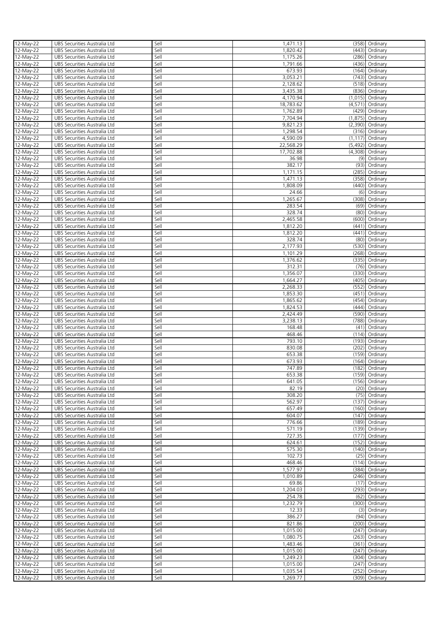| 12-May-22   | UBS Securities Australia Ltd | Sell | 1,471.13  |         |                     |
|-------------|------------------------------|------|-----------|---------|---------------------|
|             |                              |      |           |         | (358) Ordinary      |
| 12-May-22   | UBS Securities Australia Ltd | Sell | 1,820.42  |         | (443) Ordinary      |
| 12-May-22   | UBS Securities Australia Ltd | Sell | 1,175.26  |         | (286) Ordinary      |
|             |                              |      |           |         |                     |
| 12-May-22   | UBS Securities Australia Ltd | Sell | 1,791.66  |         | (436) Ordinary      |
| 12-May-22   | UBS Securities Australia Ltd | Sell | 673.93    |         | (164) Ordinary      |
| 12-May-22   | UBS Securities Australia Ltd | Sell | 3,053.21  |         | (743) Ordinary      |
|             |                              |      |           |         |                     |
| 12-May-22   | UBS Securities Australia Ltd | Sell | 2,128.62  |         | (518) Ordinary      |
| 12-May-22   | UBS Securities Australia Ltd | Sell | 3,435.38  |         | (836) Ordinary      |
|             |                              |      |           |         |                     |
| 12-May-22   | UBS Securities Australia Ltd | Sell | 4,170.94  |         | $(1,015)$ Ordinary  |
| 12-May-22   | UBS Securities Australia Ltd | Sell | 18,783.62 |         | $(4,571)$ Ordinary  |
|             |                              | Sell |           |         |                     |
| 12-May-22   | UBS Securities Australia Ltd |      | 1,762.89  |         | (429) Ordinary      |
| 12-May-22   | UBS Securities Australia Ltd | Sell | 7,704.94  |         | $(1,875)$ Ordinary  |
| 12-May-22   | UBS Securities Australia Ltd | Sell | 9,821.23  |         | $(2,390)$ Ordinary  |
|             |                              |      |           |         |                     |
| 12-May-22   | UBS Securities Australia Ltd | Sell | 1,298.54  |         | (316) Ordinary      |
| 12-May-22   | UBS Securities Australia Ltd | Sell | 4,590.09  |         | $(1, 117)$ Ordinary |
|             |                              |      |           |         |                     |
| 12-May-22   | UBS Securities Australia Ltd | Sell | 22,568.29 | (5,492) | Ordinary            |
| 12-May-22   | UBS Securities Australia Ltd | Sell | 17,702.88 |         | (4,308) Ordinary    |
|             |                              | Sell | 36.98     |         |                     |
| 12-May-22   | UBS Securities Australia Ltd |      |           | (9)     | Ordinary            |
| 12-May-22   | UBS Securities Australia Ltd | Sell | 382.17    | (93)    | Ordinary            |
|             |                              | Sell | 1,171.15  | (285)   |                     |
| 12-May-22   | UBS Securities Australia Ltd |      |           |         | Ordinary            |
| 12-May-22   | UBS Securities Australia Ltd | Sell | 1,471.13  |         | (358) Ordinary      |
| 12-May-22   | UBS Securities Australia Ltd | Sell | 1,808.09  |         | (440) Ordinary      |
|             |                              |      |           |         |                     |
| 12-May-22   | UBS Securities Australia Ltd | Sell | 24.66     |         | (6) Ordinary        |
| 12-May-22   | UBS Securities Australia Ltd | Sell | 1,265.67  |         | (308) Ordinary      |
|             |                              |      |           |         |                     |
| 12-May-22   | UBS Securities Australia Ltd | Sell | 283.54    |         | (69) Ordinary       |
| 12-May-22   | UBS Securities Australia Ltd | Sell | 328.74    |         | (80) Ordinary       |
|             |                              |      |           |         |                     |
| 12-May-22   | UBS Securities Australia Ltd | Sell | 2,465.58  |         | (600) Ordinary      |
| 12-May-22   | UBS Securities Australia Ltd | Sell | 1,812.20  |         | (441) Ordinary      |
|             |                              | Sell |           |         |                     |
| 12-May-22   | UBS Securities Australia Ltd |      | 1,812.20  |         | (441) Ordinary      |
| 12-May-22   | UBS Securities Australia Ltd | Sell | 328.74    | (80)    | Ordinary            |
| 12-May-22   | UBS Securities Australia Ltd | Sell | 2,177.93  |         | (530) Ordinary      |
|             |                              |      |           |         |                     |
| 12-May-22   | UBS Securities Australia Ltd | Sell | 1,101.29  |         | $(268)$ Ordinary    |
| 12-May-22   | UBS Securities Australia Ltd | Sell | 1,376.62  |         | (335) Ordinary      |
|             |                              |      |           |         |                     |
| 12-May-22   | UBS Securities Australia Ltd | Sell | 312.31    |         | (76) Ordinary       |
| 12-May-22   | UBS Securities Australia Ltd | Sell | 1,356.07  |         | (330) Ordinary      |
|             |                              |      |           |         |                     |
| 12-May-22   | UBS Securities Australia Ltd | Sell | 1,664.27  | (405)   | Ordinary            |
| 12-May-22   | UBS Securities Australia Ltd | Sell | 2,268.33  |         | (552) Ordinary      |
|             |                              |      |           |         |                     |
| 12-May-22   | UBS Securities Australia Ltd | Sell | 1,853.30  | (451)   | Ordinary            |
| 12-May-22   | UBS Securities Australia Ltd | Sell | 1,865.62  | (454)   | Ordinary            |
|             |                              |      |           |         |                     |
| 12-May-22   | UBS Securities Australia Ltd | Sell | 1,824.53  |         | (444) Ordinary      |
| 12-May-22   | UBS Securities Australia Ltd | Sell | 2,424.49  |         | (590) Ordinary      |
|             |                              |      |           |         |                     |
| 12-May-22   | UBS Securities Australia Ltd | Sell | 3,238.13  | (788)   | Ordinary            |
| 12-May-22   | UBS Securities Australia Ltd | Sell | 168.48    | (41)    | Ordinary            |
|             |                              |      |           |         |                     |
| 12-May-22   | UBS Securities Australia Ltd | Sell | 468.46    |         | (114) Ordinary      |
| 12-May-22   | UBS Securities Australia Ltd | Sell | 793.10    | (193)   | Ordinary            |
| 12-May-22   | UBS Securities Australia Ltd | Sell | 830.08    | (202)   | Ordinary            |
|             |                              |      |           |         |                     |
| 12-May-22   | UBS Securities Australia Ltd | Sell | 653.38    | (159)   | Ordinary            |
| 12-May-22   | UBS Securities Australia Ltd | Sell | 673.93    |         | (164) Ordinary      |
|             |                              |      |           |         |                     |
| 12-May-22   | UBS Securities Australia Ltd | Sell | 747.89    |         | (182) Ordinary      |
| 12-May-22   | UBS Securities Australia Ltd | Sell | 653.38    |         | (159) Ordinary      |
|             |                              |      |           |         |                     |
| 12-May-22   | UBS Securities Australia Ltd | Sell | 641.05    |         | (156) Ordinary      |
| 12-May-22   | UBS Securities Australia Ltd | Sell | 82.19     |         | (20) Ordinary       |
| 12-May-22   | UBS Securities Australia Ltd | Sell | 308.20    |         |                     |
|             |                              |      |           |         | (75) Ordinary       |
| 12-May-22   | UBS Securities Australia Ltd | Sell | 562.97    |         | (137) Ordinary      |
| 12-May-22   | UBS Securities Australia Ltd | Sell | 657.49    |         | (160) Ordinary      |
|             |                              |      |           |         |                     |
| 12-May-22   | UBS Securities Australia Ltd | Sell | 604.07    | (147)   | Ordinary            |
| 12-May-22   | UBS Securities Australia Ltd | Sell | 776.66    |         | (189) Ordinary      |
|             |                              |      |           |         |                     |
| 12-May-22   | UBS Securities Australia Ltd | Sell | 571.19    | (139)   | Ordinary            |
| 12-May-22   | UBS Securities Australia Ltd | Sell | 727.35    |         | (177) Ordinary      |
|             |                              | Sell | 624.61    |         | (152) Ordinary      |
| 12-May-22   | UBS Securities Australia Ltd |      |           |         |                     |
| 12-May-22   | UBS Securities Australia Ltd | Sell | 575.30    |         | (140) Ordinary      |
| 12-May-22   | UBS Securities Australia Ltd | Sell | 102.73    | (25)    | Ordinary            |
|             |                              |      |           |         |                     |
| 12-May-22   | UBS Securities Australia Ltd | Sell | 468.46    |         | (114) Ordinary      |
| 12-May-22   | UBS Securities Australia Ltd | Sell | 1,577.97  |         | (384) Ordinary      |
|             |                              |      |           |         |                     |
| 12-May-22   | UBS Securities Australia Ltd | Sell | 1,010.89  |         | (246) Ordinary      |
| 12-May-22   | UBS Securities Australia Ltd | Sell | 69.86     |         | (17) Ordinary       |
|             |                              |      |           |         |                     |
| 12-May-22   | UBS Securities Australia Ltd | Sell | 1,204.03  |         | (293) Ordinary      |
| 12-May-22   | UBS Securities Australia Ltd | Sell | 254.78    |         | (62) Ordinary       |
|             |                              |      |           |         |                     |
| 12-May-22   | UBS Securities Australia Ltd | Sell | 1,232.79  |         | (300) Ordinary      |
| 12-May-22   | UBS Securities Australia Ltd | Sell | 12.33     |         | (3) Ordinary        |
| $12-May-22$ | UBS Securities Australia Ltd | Sell | 386.27    |         | (94) Ordinary       |
|             |                              |      |           |         |                     |
| 12-May-22   | UBS Securities Australia Ltd | Sell | 821.86    |         | (200) Ordinary      |
| 12-May-22   | UBS Securities Australia Ltd | Sell | 1,015.00  | (247)   | Ordinary            |
|             |                              |      |           |         |                     |
| 12-May-22   | UBS Securities Australia Ltd | Sell | 1,080.75  |         | (263) Ordinary      |
| 12-May-22   | UBS Securities Australia Ltd | Sell | 1,483.46  |         | (361) Ordinary      |
|             |                              |      |           |         |                     |
| 12-May-22   | UBS Securities Australia Ltd | Sell | 1,015.00  |         | (247) Ordinary      |
| 12-May-22   | UBS Securities Australia Ltd | Sell | 1,249.23  |         | (304) Ordinary      |
|             |                              |      |           |         |                     |
| 12-May-22   | UBS Securities Australia Ltd | Sell | 1,015.00  |         | (247) Ordinary      |
| 12-May-22   | UBS Securities Australia Ltd | Sell | 1,035.54  | (252)   | Ordinary            |
|             |                              |      |           |         |                     |
| 12-May-22   | UBS Securities Australia Ltd | Sell | 1,269.77  |         | (309) Ordinary      |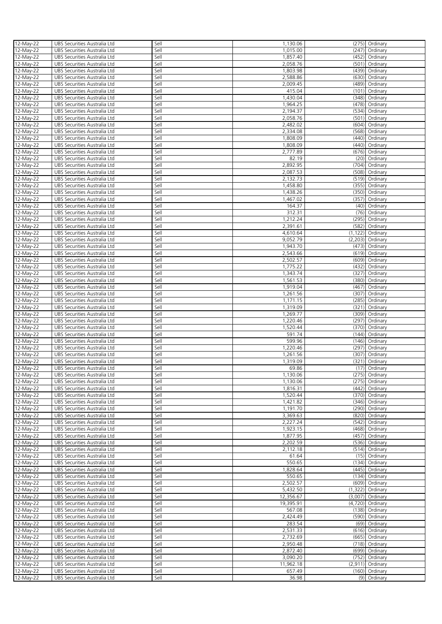|                        | UBS Securities Australia Ltd                                 | Sell         | 1,130.06        |          | (275) Ordinary           |
|------------------------|--------------------------------------------------------------|--------------|-----------------|----------|--------------------------|
| 12-May-22<br>12-May-22 | UBS Securities Australia Ltd                                 | Sell         | 1,015.00        | (247)    | Ordinary                 |
|                        |                                                              |              |                 |          |                          |
| 12-May-22              | UBS Securities Australia Ltd                                 | Sell         | 1,857.40        | (452)    | Ordinary                 |
| 12-May-22              | UBS Securities Australia Ltd                                 | Sell         | 2.058.76        |          | (501) Ordinary           |
| 12-May-22              | UBS Securities Australia Ltd                                 | Sell         | 1,803.98        | (439)    | Ordinary                 |
| 12-May-22              | UBS Securities Australia Ltd                                 | Sell         | 2,588.86        | (630)    | Ordinary                 |
| 12-May-22              | UBS Securities Australia Ltd                                 | Sell         | 2,009.45        |          | (489) Ordinary           |
|                        |                                                              |              | 415.04          |          | (101) Ordinary           |
| 12-May-22              | UBS Securities Australia Ltd                                 | Sell         |                 |          |                          |
| 12-May-22              | UBS Securities Australia Ltd                                 | Sell         | 1,430.04        | (348)    | Ordinary                 |
| 12-May-22              | UBS Securities Australia Ltd                                 | Sell         | 1,964.25        |          | (478) Ordinary           |
| 12-May-22              | UBS Securities Australia Ltd                                 | Sell         | 2,194.37        |          | (534) Ordinary           |
| 12-May-22              | UBS Securities Australia Ltd                                 | Sell         | 2,058.76        |          | (501) Ordinary           |
| 12-May-22              | UBS Securities Australia Ltd                                 | Sell         | 2,482.02        | (604)    | Ordinary                 |
| 12-May-22              | UBS Securities Australia Ltd                                 | Sell         | 2,334.08        |          | (568) Ordinary           |
|                        |                                                              |              |                 |          |                          |
| 12-May-22              | UBS Securities Australia Ltd                                 | Sell         | 1,808.09        | (440)    | Ordinary                 |
| 12-May-22              | UBS Securities Australia Ltd                                 | Sell         | 1,808.09        |          | (440) Ordinary           |
| 12-May-22              | UBS Securities Australia Ltd                                 | Sell         | 2,777.89        |          | (676) Ordinary           |
| 12-May-22              | UBS Securities Australia Ltd                                 | Sell         | 82.19           |          | (20) Ordinary            |
| 12-May-22              | UBS Securities Australia Ltd                                 | Sell         | 2,892.95        |          | (704) Ordinary           |
| 12-May-22              | UBS Securities Australia Ltd                                 | Sell         | 2,087.53        |          | (508) Ordinary           |
|                        |                                                              |              |                 |          |                          |
| 12-May-22              | UBS Securities Australia Ltd                                 | Sell         | 2,132.73        |          | (519) Ordinary           |
| 12-May-22              | UBS Securities Australia Ltd                                 | Sell         | 1,458.80        | (355)    | Ordinary                 |
| 12-May-22              | UBS Securities Australia Ltd                                 | Sell         | 1,438.26        |          | (350) Ordinary           |
| 12-May-22              | UBS Securities Australia Ltd                                 | Sell         | 1,467.02        | (357)    | Ordinary                 |
| 12-May-22              | UBS Securities Australia Ltd                                 | Sell         | 164.37          |          | (40) Ordinary            |
| 12-May-22              | UBS Securities Australia Ltd                                 | Sell         | 312.31          | (76)     | Ordinary                 |
|                        |                                                              | Sell         | 1,212.24        |          | (295) Ordinary           |
| 12-May-22              | UBS Securities Australia Ltd                                 |              |                 |          |                          |
| 12-May-22              | UBS Securities Australia Ltd                                 | Sell         | 2,391.61        | (582)    | Ordinary                 |
| 12-May-22              | UBS Securities Australia Ltd                                 | Sell         | 4,610.64        | (1, 122) | Ordinary                 |
| 12-May-22              | UBS Securities Australia Ltd                                 | Sell         | 9,052.79        | (2,203)  | Ordinary                 |
| 12-May-22              | UBS Securities Australia Ltd                                 | Sell         | 1,943.70        | (473)    | Ordinary                 |
| 12-May-22              | UBS Securities Australia Ltd                                 | Sell         | 2,543.66        |          | (619) Ordinary           |
| 12-May-22              | UBS Securities Australia Ltd                                 | Sell         | 2,502.57        |          | (609) Ordinary           |
| 12-May-22              | UBS Securities Australia Ltd                                 | Sell         | 1,775.22        | (432)    | Ordinary                 |
|                        | UBS Securities Australia Ltd                                 | Sell         | 1,343.74        | (327)    | Ordinary                 |
| 12-May-22              |                                                              |              |                 |          |                          |
| 12-May-22              | UBS Securities Australia Ltd                                 | Sell         | 1,561.53        |          | (380) Ordinary           |
| 12-May-22              | UBS Securities Australia Ltd                                 | Sell         | 1,919.04        | (467)    | Ordinary                 |
| 12-May-22              | UBS Securities Australia Ltd                                 | Sell         | 1,261.56        | (307)    | Ordinary                 |
| 12-May-22              | UBS Securities Australia Ltd                                 | Sell         | 1,171.15        | (285)    | Ordinary                 |
| 12-May-22              | UBS Securities Australia Ltd                                 | Sell         | 1,319.09        | (321)    | Ordinary                 |
| 12-May-22              | UBS Securities Australia Ltd                                 | Sell         | 1,269.77        | (309)    | Ordinary                 |
| 12-May-22              | UBS Securities Australia Ltd                                 | Sell         | 1,220.46        | (297)    | Ordinary                 |
|                        |                                                              |              |                 |          |                          |
|                        |                                                              |              |                 |          |                          |
| 12-May-22              | UBS Securities Australia Ltd                                 | Sell         | 1,520.44        |          | (370) Ordinary           |
| 12-May-22              | UBS Securities Australia Ltd                                 | Sell         | 591.74          |          | (144) Ordinary           |
| 12-May-22              | UBS Securities Australia Ltd                                 | Sell         | 599.96          |          | (146) Ordinary           |
| 12-May-22              | UBS Securities Australia Ltd                                 | Sell         | 1,220.46        | (297)    | Ordinary                 |
| 12-May-22              | UBS Securities Australia Ltd                                 | Sell         | 1,261.56        | (307)    | Ordinary                 |
| 12-May-22              | UBS Securities Australia Ltd                                 | Sell         | 1,319.09        |          | (321) Ordinary           |
|                        | UBS Securities Australia Ltd                                 | Sell         | 69.86           |          | (17) Ordinary            |
| 12-May-22              |                                                              |              |                 |          |                          |
| 12-May-22              | UBS Securities Australia Ltd                                 | Sell         | 1,130.06        |          | (275) Ordinary           |
| 12-May-22              | UBS Securities Australia Ltd                                 | Sell         | 1,130.06        |          | (275) Ordinary           |
| 12-May-22              | UBS Securities Australia Ltd                                 | Sell         | 1,816.31        |          | (442) Ordinary           |
| 12-May-22              | UBS Securities Australia Ltd                                 | Sell         | 1,520.44        |          | (370) Ordinary           |
| 12-May-22              | UBS Securities Australia Ltd                                 | Sell         | 1,421.82        |          | (346) Ordinary           |
| 12-May-22              | UBS Securities Australia Ltd                                 | Sell         | 1,191.70        |          | (290) Ordinary           |
| 12-May-22              | UBS Securities Australia Ltd                                 | Sell         | 3,369.63        |          | (820) Ordinary           |
| 12-May-22              | UBS Securities Australia Ltd                                 | Sell         | 2,227.24        |          | (542) Ordinary           |
|                        |                                                              | Sell         |                 |          |                          |
| 12-May-22              | UBS Securities Australia Ltd                                 |              | 1,923.15        |          | (468) Ordinary           |
| 12-May-22              | UBS Securities Australia Ltd                                 | Sell         | 1,877.95        |          | (457) Ordinary           |
| 12-May-22              | UBS Securities Australia Ltd                                 | Sell         | 2,202.59        |          | (536) Ordinary           |
| 12-May-22              | UBS Securities Australia Ltd                                 | Sell         | 2,112.18        |          | (514) Ordinary           |
| 12-May-22              | UBS Securities Australia Ltd                                 | Sell         | 61.64           |          | (15) Ordinary            |
| 12-May-22              | UBS Securities Australia Ltd                                 | Sell         | 550.65          |          | (134) Ordinary           |
| 12-May-22              | UBS Securities Australia Ltd                                 | Sell         | 1,828.64        |          | (445) Ordinary           |
| 12-May-22              | UBS Securities Australia Ltd                                 | Sell         | 550.65          |          | (134) Ordinary           |
| 12-May-22              | UBS Securities Australia Ltd                                 | Sell         | 2,502.57        |          | (609) Ordinary           |
|                        | UBS Securities Australia Ltd                                 | Sell         | 5,432.50        | (1,322)  | Ordinary                 |
| $12-May-22$            |                                                              |              |                 |          |                          |
| 12-May-22              | UBS Securities Australia Ltd                                 | Sell         | 12,356.67       | (3,007)  | Ordinary                 |
| 12-May-22              | UBS Securities Australia Ltd                                 | Sell         | 19,395.91       |          | (4,720) Ordinary         |
| 12-May-22              | UBS Securities Australia Ltd                                 | Sell         | 567.08          |          | (138) Ordinary           |
| 12-May-22              | UBS Securities Australia Ltd                                 | Sell         | 2,424.49        |          | (590) Ordinary           |
| 12-May-22              | UBS Securities Australia Ltd                                 | Sell         | 283.54          |          | (69) Ordinary            |
| 12-May-22              | UBS Securities Australia Ltd                                 | Sell         | 2,531.33        |          | (616) Ordinary           |
| 12-May-22              | UBS Securities Australia Ltd                                 | Sell         | 2,732.69        |          | (665) Ordinary           |
| 12-May-22              | UBS Securities Australia Ltd                                 | Sell         | 2,950.48        |          | (718) Ordinary           |
|                        |                                                              |              |                 |          |                          |
| 12-May-22              | UBS Securities Australia Ltd                                 | Sell         | 2,872.40        |          | (699) Ordinary           |
| 12-May-22              | UBS Securities Australia Ltd                                 | Sell         | 3,090.20        |          | (752) Ordinary           |
| 12-May-22              | UBS Securities Australia Ltd                                 | Sell         | 11,962.18       | (2,911)  | Ordinary                 |
| 12-May-22<br>12-May-22 | UBS Securities Australia Ltd<br>UBS Securities Australia Ltd | Sell<br>Sell | 657.49<br>36.98 | (160)    | Ordinary<br>(9) Ordinary |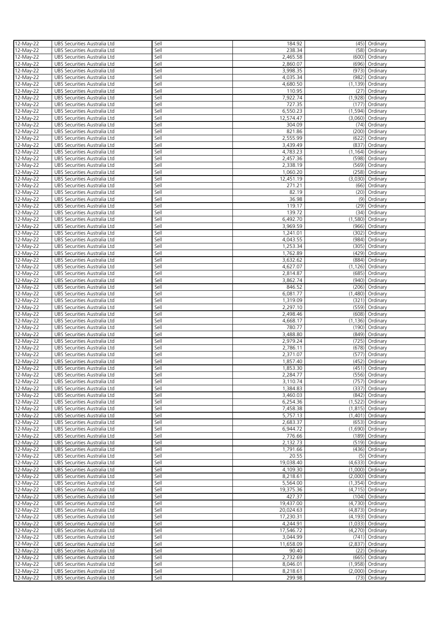| 12-May-22               | UBS Securities Australia Ltd | Sell | 184.92    |          | (45) Ordinary       |
|-------------------------|------------------------------|------|-----------|----------|---------------------|
| 12-May-22               | UBS Securities Australia Ltd | Sell | 238.34    | (58)     | Ordinary            |
|                         |                              | Sell | 2,465.58  |          |                     |
| 12-May-22               | UBS Securities Australia Ltd |      |           | (600)    | Ordinary            |
| 12-May-22               | UBS Securities Australia Ltd | Sell | 2,860.07  | (696)    | Ordinary            |
| 12-May-22               | UBS Securities Australia Ltd | Sell | 3,998.35  | (973)    | Ordinary            |
| 12-May-22               | UBS Securities Australia Ltd | Sell | 4,035.34  | (982)    | Ordinary            |
| 12-May-22               | UBS Securities Australia Ltd | Sell | 4,680.50  |          | $(1, 139)$ Ordinary |
| 12-May-22               | UBS Securities Australia Ltd | Sell | 110.95    | (27)     | Ordinary            |
| 12-May-22               | UBS Securities Australia Ltd | Sell | 7,922.74  | (1,928)  | Ordinary            |
|                         |                              |      |           |          |                     |
| 12-May-22               | UBS Securities Australia Ltd | Sell | 727.35    | (177)    | Ordinary            |
| 12-May-22               | UBS Securities Australia Ltd | Sell | 6,550.23  | (1, 594) | Ordinary            |
| 12-May-22               | UBS Securities Australia Ltd | Sell | 12,574.47 | (3,060)  | Ordinary            |
| 12-May-22               | UBS Securities Australia Ltd | Sell | 304.09    | (74)     | Ordinary            |
| 12-May-22               | UBS Securities Australia Ltd | Sell | 821.86    | (200)    | Ordinary            |
| 12-May-22               | UBS Securities Australia Ltd | Sell | 2,555.99  | (622)    | Ordinary            |
|                         |                              |      |           |          |                     |
| 12-May-22               | UBS Securities Australia Ltd | Sell | 3,439.49  | (837)    | Ordinary            |
| 12-May-22               | UBS Securities Australia Ltd | Sell | 4,783.23  | (1, 164) | Ordinary            |
| 12-May-22               | UBS Securities Australia Ltd | Sell | 2,457.36  | (598)    | Ordinary            |
| 12-May-22               | UBS Securities Australia Ltd | Sell | 2,338.19  |          | (569) Ordinary      |
| 12-May-22               | UBS Securities Australia Ltd | Sell | 1,060.20  |          | (258) Ordinary      |
| 12-May-22               |                              | Sell | 12,451.19 |          | (3,030) Ordinary    |
|                         | UBS Securities Australia Ltd |      |           |          |                     |
| 12-May-22               | UBS Securities Australia Ltd | Sell | 271.21    |          | (66) Ordinary       |
| 12-May-22               | UBS Securities Australia Ltd | Sell | 82.19     |          | (20) Ordinary       |
| 12-May-22               | UBS Securities Australia Ltd | Sell | 36.98     |          | (9) Ordinary        |
| 12-May-22               | UBS Securities Australia Ltd | Sell | 119.17    |          | (29) Ordinary       |
| 12-May-22               |                              | Sell | 139.72    | (34)     | Ordinary            |
|                         | UBS Securities Australia Ltd |      |           |          |                     |
| 12-May-22               | UBS Securities Australia Ltd | Sell | 6,492.70  | (1,580)  | Ordinary            |
| 12-May-22               | UBS Securities Australia Ltd | Sell | 3,969.59  | (966)    | Ordinary            |
| 12-May-22               | UBS Securities Australia Ltd | Sell | 1,241.01  | (302)    | Ordinary            |
| 12-May-22               | UBS Securities Australia Ltd | Sell | 4,043.55  | (984)    | Ordinary            |
| 12-May-22               | UBS Securities Australia Ltd | Sell | 1,253.34  | (305)    | Ordinary            |
|                         |                              |      |           |          |                     |
| 12-May-22               | UBS Securities Australia Ltd | Sell | 1,762.89  |          | (429) Ordinary      |
| 12-May-22               | UBS Securities Australia Ltd | Sell | 3,632.62  | (884)    | Ordinary            |
| 12-May-22               | UBS Securities Australia Ltd | Sell | 4,627.07  | (1, 126) | Ordinary            |
| 12-May-22               | UBS Securities Australia Ltd | Sell | 2,814.87  | (685)    | Ordinary            |
|                         |                              | Sell |           | (940)    |                     |
| 12-May-22               | UBS Securities Australia Ltd |      | 3,862.74  |          | Ordinary            |
| 12-May-22               | UBS Securities Australia Ltd | Sell | 846.52    | (206)    | Ordinary            |
| 12-May-22               | UBS Securities Australia Ltd | Sell | 6,081.77  | (1,480)  | Ordinary            |
| 12-May-22               | UBS Securities Australia Ltd | Sell | 1,319.09  | (321)    | Ordinary            |
| $\overline{12}$ -May-22 | UBS Securities Australia Ltd | Sell | 2,297.10  | (559)    | Ordinary            |
| 12-May-22               | UBS Securities Australia Ltd | Sell | 2,498.46  | (608)    | Ordinary            |
|                         |                              |      |           |          |                     |
| 12-May-22               | UBS Securities Australia Ltd | Sell | 4,668.17  | (1, 136) | Ordinary            |
| 12-May-22               | UBS Securities Australia Ltd | Sell | 780.77    |          | (190) Ordinary      |
| 12-May-22               | UBS Securities Australia Ltd | Sell | 3,488.80  |          | (849) Ordinary      |
| 12-May-22               | UBS Securities Australia Ltd | Sell | 2,979.24  |          | (725) Ordinary      |
| 12-May-22               | UBS Securities Australia Ltd | Sell | 2,786.11  |          | (678) Ordinary      |
|                         |                              |      |           |          |                     |
| 12-May-22               | UBS Securities Australia Ltd | Sell | 2,371.07  |          | (577) Ordinary      |
| 12-May-22               | UBS Securities Australia Ltd | Sell | 1,857.40  | (452)    | Ordinary            |
| 12-May-22               | UBS Securities Australia Ltd | Sell | 1,853.30  |          | (451) Ordinary      |
| 12-May-22               | UBS Securities Australia Ltd | Sell | 2,284.77  |          | (556) Ordinary      |
| 12-May-22               | UBS Securities Australia Ltd | Sell | 3,110.74  |          | (757) Ordinary      |
|                         |                              | Sell | 1,384.83  | (337)    |                     |
| 12-May-22               | UBS Securities Australia Ltd |      |           |          | Ordinary            |
| 12-May-22               | UBS Securities Australia Ltd | Sell | 3,460.03  |          | (842) Ordinary      |
| 12-May-22               | UBS Securities Australia Ltd | Sell | 6,254.36  |          | (1,522) Ordinary    |
| 12-May-22               | UBS Securities Australia Ltd | Sell | 7,458.38  |          | $(1,815)$ Ordinary  |
| 12-May-22               | UBS Securities Australia Ltd | Sell | 5,757.13  | (1,401)  | Ordinary            |
| 12-May-22               | UBS Securities Australia Ltd | Sell | 2,683.37  | (653)    | Ordinary            |
| 12-May-22               | UBS Securities Australia Ltd | Sell | 6,944.72  | (1,690)  | Ordinary            |
|                         |                              |      |           |          |                     |
| 12-May-22               | UBS Securities Australia Ltd | Sell | 776.66    | (189)    | Ordinary            |
| 12-May-22               | UBS Securities Australia Ltd | Sell | 2,132.73  | (519)    | Ordinary            |
| 12-May-22               | UBS Securities Australia Ltd | Sell | 1,791.66  | (436)    | Ordinary            |
| 12-May-22               | UBS Securities Australia Ltd | Sell | 20.55     | (5)      | Ordinary            |
| 12-May-22               | UBS Securities Australia Ltd | Sell | 19,038.40 | (4,633)  | Ordinary            |
|                         |                              | Sell | 4,109.30  |          |                     |
| 12-May-22               | UBS Securities Australia Ltd |      |           | (1,000)  | Ordinary            |
| 12-May-22               | UBS Securities Australia Ltd | Sell | 8,218.61  | (2,000)  | Ordinary            |
| 12-May-22               | UBS Securities Australia Ltd | Sell | 5,564.00  |          | $(1,354)$ Ordinary  |
| 12-May-22               | UBS Securities Australia Ltd | Sell | 19,375.36 |          | (4,715) Ordinary    |
| 12-May-22               | UBS Securities Australia Ltd | Sell | 427.37    |          | (104) Ordinary      |
| 12-May-22               | UBS Securities Australia Ltd | Sell | 19,437.00 |          | (4,730) Ordinary    |
|                         |                              |      |           |          |                     |
| 12-May-22               | UBS Securities Australia Ltd | Sell | 20,024.63 |          | (4,873) Ordinary    |
| 12-May-22               | UBS Securities Australia Ltd | Sell | 17,230.31 |          | (4,193) Ordinary    |
| 12-May-22               | UBS Securities Australia Ltd | Sell | 4,244.91  |          | (1,033) Ordinary    |
| 12-May-22               | UBS Securities Australia Ltd | Sell | 17,546.72 |          | (4,270) Ordinary    |
| 12-May-22               | UBS Securities Australia Ltd | Sell | 3,044.99  |          | (741) Ordinary      |
|                         |                              |      |           |          |                     |
| 12-May-22               | UBS Securities Australia Ltd | Sell | 11,658.09 |          | $(2,837)$ Ordinary  |
| 12-May-22               | UBS Securities Australia Ltd | Sell | 90.40     |          | (22) Ordinary       |
| 12-May-22               | UBS Securities Australia Ltd | Sell | 2,732.69  |          | (665) Ordinary      |
| 12-May-22               | UBS Securities Australia Ltd | Sell | 8,046.01  | (1,958)  | Ordinary            |
| 12-May-22               | UBS Securities Australia Ltd | Sell | 8,218.61  | (2,000)  | Ordinary            |
|                         |                              |      |           |          |                     |
| 12-May-22               | UBS Securities Australia Ltd | Sell | 299.98    |          | (73) Ordinary       |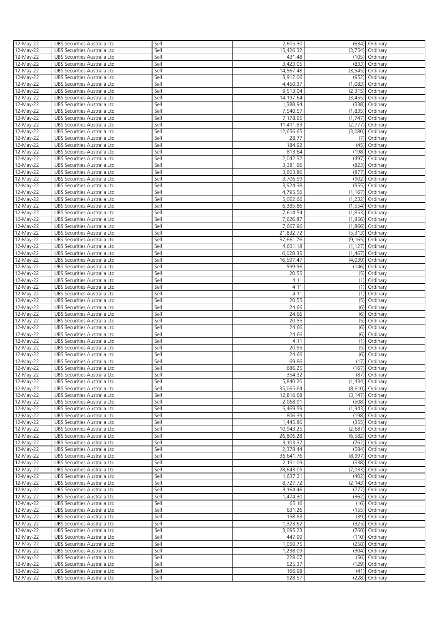| 12-May-22 | UBS Securities Australia Ltd | Sell | 2,605.30  |          | (634) Ordinary      |
|-----------|------------------------------|------|-----------|----------|---------------------|
|           |                              |      |           |          |                     |
| 12-May-22 | UBS Securities Australia Ltd | Sell | 15,426.32 |          | $(3,754)$ Ordinary  |
| 12-May-22 | UBS Securities Australia Ltd | Sell | 431.48    |          | (105) Ordinary      |
| 12-May-22 | UBS Securities Australia Ltd | Sell | 3,423.05  |          | (833) Ordinary      |
|           |                              |      |           |          |                     |
| 12-May-22 | UBS Securities Australia Ltd | Sell | 14,567.48 |          | $(3,545)$ Ordinary  |
| 12-May-22 | UBS Securities Australia Ltd | Sell | 3,912.06  | (952)    | Ordinary            |
| 12-May-22 | UBS Securities Australia Ltd | Sell | 4,450.37  |          | $(1,083)$ Ordinary  |
|           |                              |      |           |          |                     |
| 12-May-22 | UBS Securities Australia Ltd | Sell | 9,513.04  |          | $(2,315)$ Ordinary  |
| 12-May-22 | UBS Securities Australia Ltd | Sell | 14,197.64 | (3,455)  | Ordinary            |
| 12-May-22 | UBS Securities Australia Ltd | Sell | 1,388.94  | (338)    | Ordinary            |
|           |                              |      |           |          |                     |
| 12-May-22 | UBS Securities Australia Ltd | Sell | 7,540.57  |          | $(1,835)$ Ordinary  |
| 12-May-22 | UBS Securities Australia Ltd | Sell | 7,178.95  |          | (1,747) Ordinary    |
| 12-May-22 | UBS Securities Australia Ltd | Sell | 11,411.53 | (2,777)  | Ordinary            |
|           |                              |      |           |          |                     |
| 12-May-22 | UBS Securities Australia Ltd | Sell | 12,656.65 | (3,080)  | Ordinary            |
| 12-May-22 | UBS Securities Australia Ltd | Sell | 28.77     | (7)      | Ordinary            |
| 12-May-22 | UBS Securities Australia Ltd | Sell | 184.92    | (45)     | Ordinary            |
|           |                              |      |           |          |                     |
| 12-May-22 | UBS Securities Australia Ltd | Sell | 813.64    | (198)    | Ordinary            |
| 12-May-22 | UBS Securities Australia Ltd | Sell | 2,042.32  | (497)    | Ordinary            |
| 12-May-22 | UBS Securities Australia Ltd | Sell | 3,381.96  | (823)    | Ordinary            |
|           |                              | Sell |           |          |                     |
| 12-May-22 | UBS Securities Australia Ltd |      | 3,603.86  | (877)    | Ordinary            |
| 12-May-22 | UBS Securities Australia Ltd | Sell | 3,706.59  | (902)    | Ordinary            |
| 12-May-22 | UBS Securities Australia Ltd | Sell | 3,924.38  |          | (955) Ordinary      |
|           |                              |      |           |          |                     |
| 12-May-22 | UBS Securities Australia Ltd | Sell | 4,795.56  |          | $(1, 167)$ Ordinary |
| 12-May-22 | UBS Securities Australia Ltd | Sell | 5,062.66  |          | (1,232) Ordinary    |
| 12-May-22 | UBS Securities Australia Ltd | Sell | 6,385.86  |          | $(1,554)$ Ordinary  |
|           |                              | Sell |           | (1,853)  | Ordinary            |
| 12-May-22 | UBS Securities Australia Ltd |      | 7,614.54  |          |                     |
| 12-May-22 | UBS Securities Australia Ltd | Sell | 7,626.87  | (1,856)  | Ordinary            |
| 12-May-22 | UBS Securities Australia Ltd | Sell | 7,667.96  |          | (1,866) Ordinary    |
| 12-May-22 | UBS Securities Australia Ltd | Sell | 21,832.72 |          | $(5,313)$ Ordinary  |
|           |                              |      |           |          |                     |
| 12-May-22 | UBS Securities Australia Ltd | Sell | 37,661.76 |          | (9,165) Ordinary    |
| 12-May-22 | UBS Securities Australia Ltd | Sell | 4,631.18  | (1, 127) | Ordinary            |
|           |                              | Sell | 6,028.35  |          |                     |
| 12-May-22 | UBS Securities Australia Ltd |      |           | (1,467)  | Ordinary            |
| 12-May-22 | UBS Securities Australia Ltd | Sell | 16,597.47 | (4,039)  | Ordinary            |
| 12-May-22 | UBS Securities Australia Ltd | Sell | 599.96    | (146)    | Ordinary            |
|           |                              | Sell | 20.55     |          |                     |
| 12-May-22 | UBS Securities Australia Ltd |      |           | (5)      | Ordinary            |
| 12-May-22 | UBS Securities Australia Ltd | Sell | 4.11      | (1)      | Ordinary            |
| 12-May-22 | UBS Securities Australia Ltd | Sell | 4.11      | (1)      | Ordinary            |
|           |                              |      | 4.11      |          |                     |
| 12-May-22 | UBS Securities Australia Ltd | Sell |           | (1)      | Ordinary            |
| 12-May-22 | UBS Securities Australia Ltd | Sell | 20.55     | (5)      | Ordinary            |
| 12-May-22 | UBS Securities Australia Ltd | Sell | 24.66     |          | (6) Ordinary        |
| 12-May-22 | UBS Securities Australia Ltd | Sell | 24.66     | (6)      | Ordinary            |
|           |                              |      |           |          |                     |
| 12-May-22 | UBS Securities Australia Ltd | Sell | 20.55     |          | (5) Ordinary        |
| 12-May-22 | UBS Securities Australia Ltd | Sell | 24.66     | (6)      | Ordinary            |
| 12-May-22 | UBS Securities Australia Ltd | Sell | 24.66     |          | (6) Ordinary        |
|           |                              |      |           |          |                     |
| 12-May-22 | UBS Securities Australia Ltd | Sell | 4.11      | (1)      | Ordinary            |
| 12-May-22 | UBS Securities Australia Ltd | Sell | 20.55     |          | (5) Ordinary        |
| 12-May-22 | UBS Securities Australia Ltd | Sell | 24.66     |          | (6) Ordinary        |
|           |                              |      |           |          |                     |
| 12-May-22 | UBS Securities Australia Ltd | Sell | 69.86     |          | $(17)$ Ordinary     |
| 12-May-22 | UBS Securities Australia Ltd | Sell | 686.25    |          | (167) Ordinary      |
| 12-May-22 | UBS Securities Australia Ltd | Sell | 354.32    |          | (87) Ordinary       |
|           |                              |      |           |          |                     |
| 12-May-22 | UBS Securities Australia Ltd | Sell | 5,840.20  |          | $(1,434)$ Ordinary  |
| 12-May-22 | UBS Securities Australia Ltd | Sell | 35,065.64 |          | (8,610) Ordinary    |
| 12-May-22 | UBS Securities Australia Ltd | Sell | 12,816.68 |          | $(3, 147)$ Ordinary |
| 12-May-22 | UBS Securities Australia Ltd | Sell | 2,068.91  |          | (508) Ordinary      |
|           |                              |      |           |          |                     |
| 12-May-22 | UBS Securities Australia Ltd | Sell | 5,469.59  |          | $(1,343)$ Ordinary  |
| 12-May-22 | UBS Securities Australia Ltd | Sell | 806.39    |          | (198) Ordinary      |
| 12-May-22 | UBS Securities Australia Ltd | Sell | 1,445.80  |          | (355) Ordinary      |
|           |                              |      |           |          |                     |
| 12-May-22 | UBS Securities Australia Ltd | Sell | 10,943.25 | (2,687)  | Ordinary            |
| 12-May-22 | UBS Securities Australia Ltd | Sell | 26,806.28 | (6, 582) | Ordinary            |
| 12-May-22 | UBS Securities Australia Ltd | Sell | 3,103.37  | (762)    | Ordinary            |
| 12-May-22 | UBS Securities Australia Ltd | Sell | 2,378.44  | (584)    | Ordinary            |
|           |                              |      |           |          |                     |
| 12-May-22 | UBS Securities Australia Ltd | Sell | 36,641.76 | (8,997)  | Ordinary            |
| 12-May-22 | UBS Securities Australia Ltd | Sell | 2,191.09  | (538)    | Ordinary            |
| 12-May-22 | UBS Securities Australia Ltd | Sell | 28,643.05 | (7,033)  | Ordinary            |
|           |                              |      |           |          |                     |
| 12-May-22 | UBS Securities Australia Ltd | Sell | 1,637.21  | (402)    | Ordinary            |
| 12-May-22 | UBS Securities Australia Ltd | Sell | 8,727.72  | (2, 143) | Ordinary            |
| 12-May-22 | UBS Securities Australia Ltd | Sell | 3,164.46  | (777)    | Ordinary            |
|           |                              |      |           |          |                     |
| 12-May-22 | UBS Securities Australia Ltd | Sell | 1,474.30  | (362)    | Ordinary            |
| 12-May-22 | UBS Securities Australia Ltd | Sell | 65.16     |          | $(16)$ Ordinary     |
| 12-May-22 | UBS Securities Australia Ltd | Sell | 631.26    |          | (155) Ordinary      |
| 12-May-22 | UBS Securities Australia Ltd | Sell | 158.83    |          | (39) Ordinary       |
|           |                              |      |           |          |                     |
| 12-May-22 | UBS Securities Australia Ltd | Sell | 1,323.62  |          | (325) Ordinary      |
| 12-May-22 | UBS Securities Australia Ltd | Sell | 3,095.23  |          | (760) Ordinary      |
| 12-May-22 | UBS Securities Australia Ltd | Sell | 447.99    |          | (110) Ordinary      |
|           |                              |      |           |          |                     |
| 12-May-22 | UBS Securities Australia Ltd | Sell | 1,050.75  |          | (258) Ordinary      |
| 12-May-22 | UBS Securities Australia Ltd | Sell | 1,238.09  |          | (304) Ordinary      |
| 12-May-22 | UBS Securities Australia Ltd | Sell | 228.07    |          | (56) Ordinary       |
|           |                              |      |           |          |                     |
| 12-May-22 | UBS Securities Australia Ltd | Sell | 525.37    |          | (129) Ordinary      |
| 12-May-22 | UBS Securities Australia Ltd | Sell | 166.98    |          | (41) Ordinary       |
|           |                              |      |           |          |                     |
| 12-May-22 | UBS Securities Australia Ltd | Sell | 928.57    |          | (228) Ordinary      |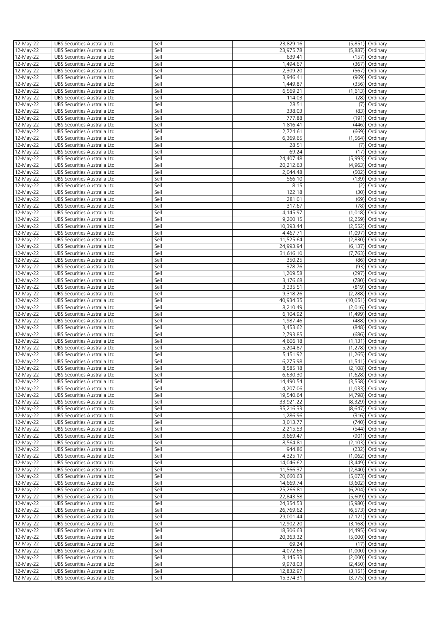| 12-May-22 | UBS Securities Australia Ltd | Sell | 23,829.16 |          | (5,851) Ordinary    |
|-----------|------------------------------|------|-----------|----------|---------------------|
|           |                              |      |           |          |                     |
| 12-May-22 | UBS Securities Australia Ltd | Sell | 23,975.78 |          | $(5,887)$ Ordinary  |
| 12-May-22 | UBS Securities Australia Ltd | Sell | 639.41    |          | (157) Ordinary      |
| 12-May-22 | UBS Securities Australia Ltd | Sell | 1,494.67  |          | (367) Ordinary      |
|           |                              |      |           |          |                     |
| 12-May-22 | UBS Securities Australia Ltd | Sell | 2,309.20  | (567)    | Ordinary            |
| 12-May-22 | UBS Securities Australia Ltd | Sell | 3,946.41  | (969)    | Ordinary            |
| 12-May-22 | UBS Securities Australia Ltd | Sell | 1,449.87  |          | (356) Ordinary      |
|           |                              |      |           |          |                     |
| 12-May-22 | UBS Securities Australia Ltd | Sell | 6,569.21  |          | $(1,613)$ Ordinary  |
| 12-May-22 | UBS Securities Australia Ltd | Sell | 114.03    | (28)     | Ordinary            |
| 12-May-22 | UBS Securities Australia Ltd | Sell | 28.51     | (7)      | Ordinary            |
|           |                              | Sell |           |          |                     |
| 12-May-22 | UBS Securities Australia Ltd |      | 338.03    |          | (83) Ordinary       |
| 12-May-22 | UBS Securities Australia Ltd | Sell | 777.88    | (191)    | Ordinary            |
| 12-May-22 | UBS Securities Australia Ltd | Sell | 1,816.41  | (446)    | Ordinary            |
|           | UBS Securities Australia Ltd | Sell | 2,724.61  | (669)    | Ordinary            |
| 12-May-22 |                              |      |           |          |                     |
| 12-May-22 | UBS Securities Australia Ltd | Sell | 6,369.65  | (1, 564) | Ordinary            |
| 12-May-22 | UBS Securities Australia Ltd | Sell | 28.51     | (7)      | Ordinary            |
| 12-May-22 | UBS Securities Australia Ltd | Sell | 69.24     | (17)     | Ordinary            |
|           |                              |      |           |          |                     |
| 12-May-22 | UBS Securities Australia Ltd | Sell | 24,407.48 | (5,993)  | Ordinary            |
| 12-May-22 | UBS Securities Australia Ltd | Sell | 20,212.63 |          | (4,963) Ordinary    |
|           |                              | Sell | 2,044.48  |          | (502) Ordinary      |
| 12-May-22 | UBS Securities Australia Ltd |      |           |          |                     |
| 12-May-22 | UBS Securities Australia Ltd | Sell | 566.10    |          | (139) Ordinary      |
| 12-May-22 | UBS Securities Australia Ltd | Sell | 8.15      |          | (2) Ordinary        |
|           |                              | Sell | 122.18    |          |                     |
| 12-May-22 | UBS Securities Australia Ltd |      |           |          | (30) Ordinary       |
| 12-May-22 | UBS Securities Australia Ltd | Sell | 281.01    |          | (69) Ordinary       |
| 12-May-22 | UBS Securities Australia Ltd | Sell | 317.67    |          | (78) Ordinary       |
| 12-May-22 | UBS Securities Australia Ltd | Sell | 4,145.97  |          | $(1,018)$ Ordinary  |
|           |                              |      |           |          |                     |
| 12-May-22 | UBS Securities Australia Ltd | Sell | 9,200.15  |          | (2,259) Ordinary    |
| 12-May-22 | UBS Securities Australia Ltd | Sell | 10,393.44 | (2, 552) | Ordinary            |
| 12-May-22 | UBS Securities Australia Ltd | Sell | 4,467.71  | (1,097)  | Ordinary            |
|           |                              |      |           |          |                     |
| 12-May-22 | UBS Securities Australia Ltd | Sell | 11,525.64 | (2,830)  | Ordinary            |
| 12-May-22 | UBS Securities Australia Ltd | Sell | 24,993.94 | (6, 137) | Ordinary            |
| 12-May-22 |                              | Sell | 31,616.10 |          | (7,763) Ordinary    |
|           | UBS Securities Australia Ltd |      |           |          |                     |
| 12-May-22 | UBS Securities Australia Ltd | Sell | 350.25    | (86)     | Ordinary            |
| 12-May-22 | UBS Securities Australia Ltd | Sell | 378.76    | (93)     | Ordinary            |
| 12-May-22 | UBS Securities Australia Ltd | Sell | 1,209.58  |          | (297) Ordinary      |
|           |                              |      |           |          |                     |
| 12-May-22 | UBS Securities Australia Ltd | Sell | 3,176.68  | (780)    | Ordinary            |
| 12-May-22 | UBS Securities Australia Ltd | Sell | 3,335.51  |          | (819) Ordinary      |
| 12-May-22 | UBS Securities Australia Ltd | Sell | 9,318.26  | (2,288)  | Ordinary            |
|           |                              |      |           |          |                     |
| 12-May-22 | UBS Securities Australia Ltd | Sell | 40,934.35 | (10,051) | Ordinary            |
| 12-May-22 | UBS Securities Australia Ltd | Sell | 8,210.49  | (2,016)  | Ordinary            |
| 12-May-22 | UBS Securities Australia Ltd | Sell | 6,104.92  | (1,499)  | Ordinary            |
|           |                              |      |           |          |                     |
| 12-May-22 | UBS Securities Australia Ltd | Sell | 1,987.46  | (488)    | Ordinary            |
| 12-May-22 | UBS Securities Australia Ltd | Sell | 3,453.62  | (848)    | Ordinary            |
| 12-May-22 | UBS Securities Australia Ltd | Sell | 2,793.85  | (686)    | Ordinary            |
|           |                              |      |           |          |                     |
| 12-May-22 | UBS Securities Australia Ltd | Sell | 4,606.18  | (1, 131) | Ordinary            |
| 12-May-22 | UBS Securities Australia Ltd | Sell | 5,204.87  |          | (1,278) Ordinary    |
| 12-May-22 | UBS Securities Australia Ltd | Sell | 5,151.92  |          | (1,265) Ordinary    |
|           |                              |      |           |          |                     |
| 12-May-22 | UBS Securities Australia Ltd | Sell | 6,275.98  |          | $(1,541)$ Ordinary  |
| 12-May-22 | UBS Securities Australia Ltd | Sell | 8,585.18  |          | $(2,108)$ Ordinary  |
| 12-May-22 | UBS Securities Australia Ltd | Sell | 6,630.30  |          | $(1,628)$ Ordinary  |
|           |                              |      |           |          |                     |
| 12-May-22 | UBS Securities Australia Ltd | Sell | 14,490.54 |          | (3,558) Ordinary    |
| 12-May-22 | UBS Securities Australia Ltd | Sell | 4,207.06  |          | $(1,033)$ Ordinary  |
| 12-May-22 | UBS Securities Australia Ltd | Sell | 19,540.64 |          | (4,798) Ordinary    |
| 12-May-22 |                              | Sell | 33.921.22 |          | (8,329) Ordinary    |
|           | UBS Securities Australia Ltd |      |           |          |                     |
| 12-May-22 | UBS Securities Australia Ltd | Sell | 35,216.33 |          | $(8,647)$ Ordinary  |
| 12-May-22 | UBS Securities Australia Ltd | Sell | 1,286.96  |          | (316) Ordinary      |
| 12-May-22 | UBS Securities Australia Ltd | Sell | 3,013.77  |          | (740) Ordinary      |
|           |                              |      |           |          |                     |
| 12-May-22 | UBS Securities Australia Ltd | Sell | 2,215.53  | (544)    | Ordinary            |
| 12-May-22 | UBS Securities Australia Ltd | Sell | 3,669.47  |          | (901) Ordinary      |
| 12-May-22 | UBS Securities Australia Ltd | Sell | 8,564.81  |          | $(2, 103)$ Ordinary |
|           | UBS Securities Australia Ltd | Sell | 944.86    |          |                     |
| 12-May-22 |                              |      |           | (232)    | Ordinary            |
| 12-May-22 | UBS Securities Australia Ltd | Sell | 4,325.17  | (1,062)  | Ordinary            |
| 12-May-22 | UBS Securities Australia Ltd | Sell | 14,046.62 | (3,449)  | Ordinary            |
| 12-May-22 | UBS Securities Australia Ltd | Sell | 11,566.37 | (2,840)  | Ordinary            |
|           |                              |      |           |          |                     |
| 12-May-22 | UBS Securities Australia Ltd | Sell | 20,660.63 | (5,073)  | Ordinary            |
| 12-May-22 | UBS Securities Australia Ltd | Sell | 14,669.74 | (3,602)  | Ordinary            |
| 12-May-22 | UBS Securities Australia Ltd | Sell | 25,266.81 | (6,204)  | Ordinary            |
|           |                              |      |           |          |                     |
| 12-May-22 | UBS Securities Australia Ltd | Sell | 22,843.58 |          | (5,609) Ordinary    |
| 12-May-22 | UBS Securities Australia Ltd | Sell | 24,354.53 |          | (5,980) Ordinary    |
| 12-May-22 | UBS Securities Australia Ltd | Sell | 26,769.62 |          | (6,573) Ordinary    |
|           |                              |      |           |          |                     |
| 12-May-22 | UBS Securities Australia Ltd | Sell | 29,001.44 |          | $(7, 121)$ Ordinary |
| 12-May-22 | UBS Securities Australia Ltd | Sell | 12,902.20 |          | $(3, 168)$ Ordinary |
| 12-May-22 | UBS Securities Australia Ltd | Sell | 18,306.63 |          | (4,495) Ordinary    |
|           |                              |      |           |          |                     |
| 12-May-22 | UBS Securities Australia Ltd | Sell | 20,363.32 |          | (5,000) Ordinary    |
| 12-May-22 | UBS Securities Australia Ltd | Sell | 69.24     |          | (17) Ordinary       |
| 12-May-22 | UBS Securities Australia Ltd | Sell | 4,072.66  |          | (1,000) Ordinary    |
| 12-May-22 | UBS Securities Australia Ltd | Sell | 8,145.33  |          | (2,000) Ordinary    |
|           |                              |      |           |          |                     |
| 12-May-22 | UBS Securities Australia Ltd | Sell | 9,978.03  |          | $(2,450)$ Ordinary  |
| 12-May-22 | UBS Securities Australia Ltd | Sell | 12,832.97 |          | $(3, 151)$ Ordinary |
|           |                              |      |           |          |                     |
| 12-May-22 | UBS Securities Australia Ltd | Sell | 15,374.31 |          | $(3,775)$ Ordinary  |